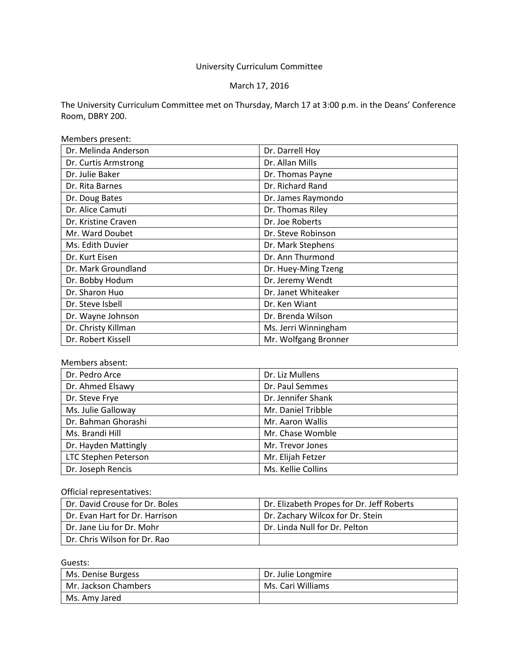# University Curriculum Committee

# March 17, 2016

The University Curriculum Committee met on Thursday, March 17 at 3:00 p.m. in the Deans' Conference Room, DBRY 200.

Members present:

| Dr. Melinda Anderson | Dr. Darrell Hoy      |  |
|----------------------|----------------------|--|
| Dr. Curtis Armstrong | Dr. Allan Mills      |  |
| Dr. Julie Baker      | Dr. Thomas Payne     |  |
| Dr. Rita Barnes      | Dr. Richard Rand     |  |
| Dr. Doug Bates       | Dr. James Raymondo   |  |
| Dr. Alice Camuti     | Dr. Thomas Riley     |  |
| Dr. Kristine Craven  | Dr. Joe Roberts      |  |
| Mr. Ward Doubet      | Dr. Steve Robinson   |  |
| Ms. Edith Duvier     | Dr. Mark Stephens    |  |
| Dr. Kurt Eisen       | Dr. Ann Thurmond     |  |
| Dr. Mark Groundland  | Dr. Huey-Ming Tzeng  |  |
| Dr. Bobby Hodum      | Dr. Jeremy Wendt     |  |
| Dr. Sharon Huo       | Dr. Janet Whiteaker  |  |
| Dr. Steve Isbell     | Dr. Ken Wiant        |  |
| Dr. Wayne Johnson    | Dr. Brenda Wilson    |  |
| Dr. Christy Killman  | Ms. Jerri Winningham |  |
| Dr. Robert Kissell   | Mr. Wolfgang Bronner |  |

#### Members absent:

| Dr. Pedro Arce       | Dr. Liz Mullens    |  |
|----------------------|--------------------|--|
| Dr. Ahmed Elsawy     | Dr. Paul Semmes    |  |
| Dr. Steve Frye       | Dr. Jennifer Shank |  |
| Ms. Julie Galloway   | Mr. Daniel Tribble |  |
| Dr. Bahman Ghorashi  | Mr. Aaron Wallis   |  |
| Ms. Brandi Hill      | Mr. Chase Womble   |  |
| Dr. Hayden Mattingly | Mr. Trevor Jones   |  |
| LTC Stephen Peterson | Mr. Elijah Fetzer  |  |
| Dr. Joseph Rencis    | Ms. Kellie Collins |  |

# Official representatives:

| Dr. David Crouse for Dr. Boles | Dr. Elizabeth Propes for Dr. Jeff Roberts |
|--------------------------------|-------------------------------------------|
| Dr. Evan Hart for Dr. Harrison | Dr. Zachary Wilcox for Dr. Stein          |
| Dr. Jane Liu for Dr. Mohr      | Dr. Linda Null for Dr. Pelton             |
| Dr. Chris Wilson for Dr. Rao   |                                           |

Guests:

| Ms. Denise Burgess   | Dr. Julie Longmire |
|----------------------|--------------------|
| Mr. Jackson Chambers | Ms. Cari Williams  |
| Ms. Amy Jared        |                    |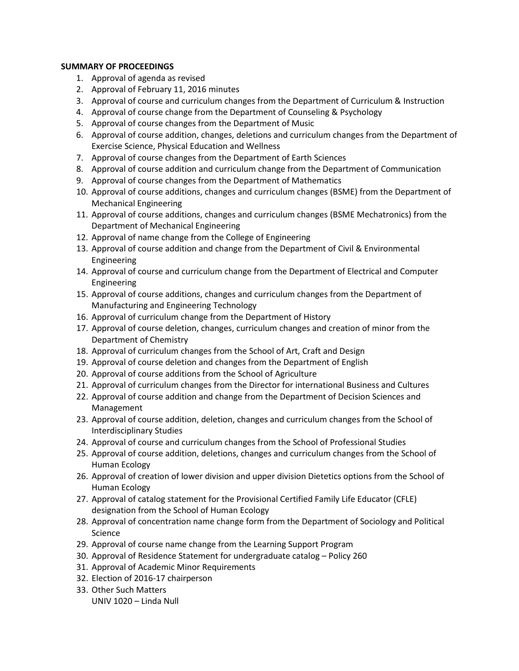## **SUMMARY OF PROCEEDINGS**

- 1. Approval of agenda as revised
- 2. Approval of February 11, 2016 minutes
- 3. Approval of course and curriculum changes from the Department of Curriculum & Instruction
- 4. Approval of course change from the Department of Counseling & Psychology
- 5. Approval of course changes from the Department of Music
- 6. Approval of course addition, changes, deletions and curriculum changes from the Department of Exercise Science, Physical Education and Wellness
- 7. Approval of course changes from the Department of Earth Sciences
- 8. Approval of course addition and curriculum change from the Department of Communication
- 9. Approval of course changes from the Department of Mathematics
- 10. Approval of course additions, changes and curriculum changes (BSME) from the Department of Mechanical Engineering
- 11. Approval of course additions, changes and curriculum changes (BSME Mechatronics) from the Department of Mechanical Engineering
- 12. Approval of name change from the College of Engineering
- 13. Approval of course addition and change from the Department of Civil & Environmental Engineering
- 14. Approval of course and curriculum change from the Department of Electrical and Computer Engineering
- 15. Approval of course additions, changes and curriculum changes from the Department of Manufacturing and Engineering Technology
- 16. Approval of curriculum change from the Department of History
- 17. Approval of course deletion, changes, curriculum changes and creation of minor from the Department of Chemistry
- 18. Approval of curriculum changes from the School of Art, Craft and Design
- 19. Approval of course deletion and changes from the Department of English
- 20. Approval of course additions from the School of Agriculture
- 21. Approval of curriculum changes from the Director for international Business and Cultures
- 22. Approval of course addition and change from the Department of Decision Sciences and Management
- 23. Approval of course addition, deletion, changes and curriculum changes from the School of Interdisciplinary Studies
- 24. Approval of course and curriculum changes from the School of Professional Studies
- 25. Approval of course addition, deletions, changes and curriculum changes from the School of Human Ecology
- 26. Approval of creation of lower division and upper division Dietetics options from the School of Human Ecology
- 27. Approval of catalog statement for the Provisional Certified Family Life Educator (CFLE) designation from the School of Human Ecology
- 28. Approval of concentration name change form from the Department of Sociology and Political Science
- 29. Approval of course name change from the Learning Support Program
- 30. Approval of Residence Statement for undergraduate catalog Policy 260
- 31. Approval of Academic Minor Requirements
- 32. Election of 2016-17 chairperson
- 33. Other Such Matters UNIV 1020 – Linda Null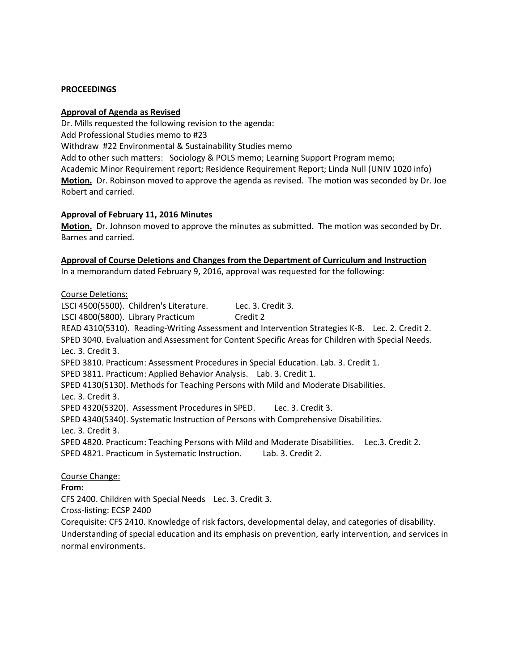#### **PROCEEDINGS**

#### **Approval of Agenda as Revised**

Dr. Mills requested the following revision to the agenda: Add Professional Studies memo to #23 Withdraw #22 Environmental & Sustainability Studies memo Add to other such matters: Sociology & POLS memo; Learning Support Program memo; Academic Minor Requirement report; Residence Requirement Report; Linda Null (UNIV 1020 info) **Motion.** Dr. Robinson moved to approve the agenda as revised. The motion was seconded by Dr. Joe Robert and carried.

#### **Approval of February 11, 2016 Minutes**

**Motion.** Dr. Johnson moved to approve the minutes as submitted. The motion was seconded by Dr. Barnes and carried.

## **Approval of Course Deletions and Changes from the Department of Curriculum and Instruction**

In a memorandum dated February 9, 2016, approval was requested for the following:

#### Course Deletions:

LSCI 4500(5500). Children's Literature. Lec. 3. Credit 3. LSCI 4800(5800). Library Practicum Credit 2 READ 4310(5310). Reading-Writing Assessment and Intervention Strategies K-8. Lec. 2. Credit 2. SPED 3040. Evaluation and Assessment for Content Specific Areas for Children with Special Needs. Lec. 3. Credit 3. SPED 3810. Practicum: Assessment Procedures in Special Education. Lab. 3. Credit 1. SPED 3811. Practicum: Applied Behavior Analysis. Lab. 3. Credit 1. SPED 4130(5130). Methods for Teaching Persons with Mild and Moderate Disabilities. Lec. 3. Credit 3. SPED 4320(5320). Assessment Procedures in SPED. Lec. 3. Credit 3. SPED 4340(5340). Systematic Instruction of Persons with Comprehensive Disabilities. Lec. 3. Credit 3. SPED 4820. Practicum: Teaching Persons with Mild and Moderate Disabilities. Lec.3. Credit 2. SPED 4821. Practicum in Systematic Instruction. Lab. 3. Credit 2.

## Course Change:

#### **From:**

CFS 2400. Children with Special Needs Lec. 3. Credit 3.

Cross-listing: ECSP 2400

Corequisite: CFS 2410. Knowledge of risk factors, developmental delay, and categories of disability. Understanding of special education and its emphasis on prevention, early intervention, and services in normal environments.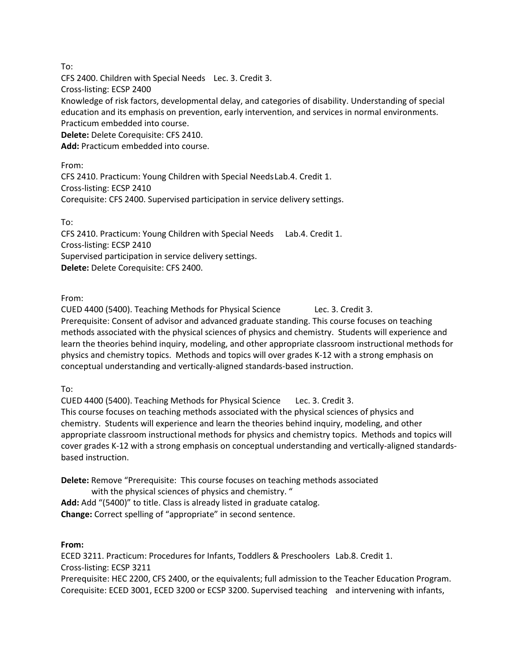To:

CFS 2400. Children with Special Needs Lec. 3. Credit 3. Cross-listing: ECSP 2400 Knowledge of risk factors, developmental delay, and categories of disability. Understanding of special education and its emphasis on prevention, early intervention, and services in normal environments. Practicum embedded into course. **Delete:** Delete Corequisite: CFS 2410.

**Add:** Practicum embedded into course.

From: CFS 2410. Practicum: Young Children with Special NeedsLab.4. Credit 1. Cross-listing: ECSP 2410 Corequisite: CFS 2400. Supervised participation in service delivery settings.

To:

CFS 2410. Practicum: Young Children with Special Needs Lab.4. Credit 1. Cross-listing: ECSP 2410 Supervised participation in service delivery settings. **Delete:** Delete Corequisite: CFS 2400.

From:

CUED 4400 (5400). Teaching Methods for Physical Science Lec. 3. Credit 3. Prerequisite: Consent of advisor and advanced graduate standing. This course focuses on teaching methods associated with the physical sciences of physics and chemistry. Students will experience and learn the theories behind inquiry, modeling, and other appropriate classroom instructional methods for physics and chemistry topics. Methods and topics will over grades K-12 with a strong emphasis on conceptual understanding and vertically-aligned standards-based instruction.

To:

CUED 4400 (5400). Teaching Methods for Physical Science Lec. 3. Credit 3. This course focuses on teaching methods associated with the physical sciences of physics and chemistry. Students will experience and learn the theories behind inquiry, modeling, and other appropriate classroom instructional methods for physics and chemistry topics. Methods and topics will cover grades K-12 with a strong emphasis on conceptual understanding and vertically-aligned standardsbased instruction.

**Delete:** Remove "Prerequisite: This course focuses on teaching methods associated with the physical sciences of physics and chemistry. " **Add:** Add "(5400)" to title. Class is already listed in graduate catalog. **Change:** Correct spelling of "appropriate" in second sentence.

# **From:**

ECED 3211. Practicum: Procedures for Infants, Toddlers & Preschoolers Lab.8. Credit 1. Cross-listing: ECSP 3211 Prerequisite: HEC 2200, CFS 2400, or the equivalents; full admission to the Teacher Education Program.

Corequisite: ECED 3001, ECED 3200 or ECSP 3200. Supervised teaching and intervening with infants,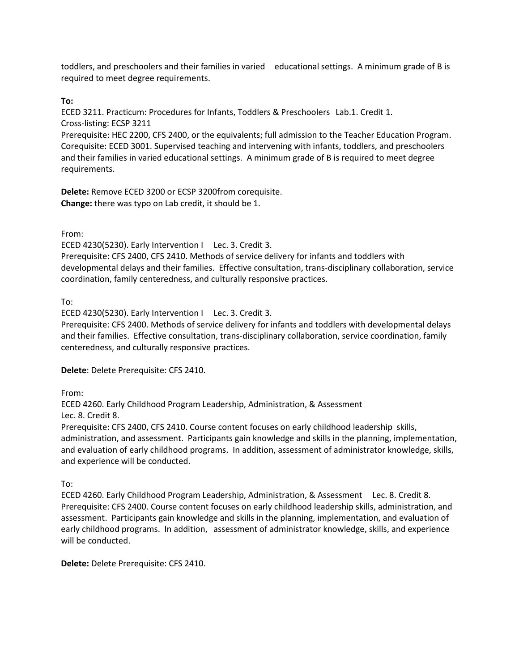toddlers, and preschoolers and their families in varied educational settings. A minimum grade of B is required to meet degree requirements.

**To:**

ECED 3211. Practicum: Procedures for Infants, Toddlers & Preschoolers Lab.1. Credit 1. Cross-listing: ECSP 3211

Prerequisite: HEC 2200, CFS 2400, or the equivalents; full admission to the Teacher Education Program. Corequisite: ECED 3001. Supervised teaching and intervening with infants, toddlers, and preschoolers and their families in varied educational settings. A minimum grade of B is required to meet degree requirements.

**Delete:** Remove ECED 3200 or ECSP 3200from corequisite. **Change:** there was typo on Lab credit, it should be 1.

From:

ECED 4230(5230). Early Intervention I Lec. 3. Credit 3.

Prerequisite: CFS 2400, CFS 2410. Methods of service delivery for infants and toddlers with developmental delays and their families. Effective consultation, trans-disciplinary collaboration, service coordination, family centeredness, and culturally responsive practices.

To:

ECED 4230(5230). Early Intervention I Lec. 3. Credit 3.

Prerequisite: CFS 2400. Methods of service delivery for infants and toddlers with developmental delays and their families. Effective consultation, trans-disciplinary collaboration, service coordination, family centeredness, and culturally responsive practices.

**Delete**: Delete Prerequisite: CFS 2410.

From:

ECED 4260. Early Childhood Program Leadership, Administration, & Assessment

Lec. 8. Credit 8.

Prerequisite: CFS 2400, CFS 2410. Course content focuses on early childhood leadership skills, administration, and assessment. Participants gain knowledge and skills in the planning, implementation, and evaluation of early childhood programs. In addition, assessment of administrator knowledge, skills, and experience will be conducted.

To:

ECED 4260. Early Childhood Program Leadership, Administration, & Assessment Lec. 8. Credit 8. Prerequisite: CFS 2400. Course content focuses on early childhood leadership skills, administration, and assessment. Participants gain knowledge and skills in the planning, implementation, and evaluation of early childhood programs. In addition, assessment of administrator knowledge, skills, and experience will be conducted.

**Delete:** Delete Prerequisite: CFS 2410.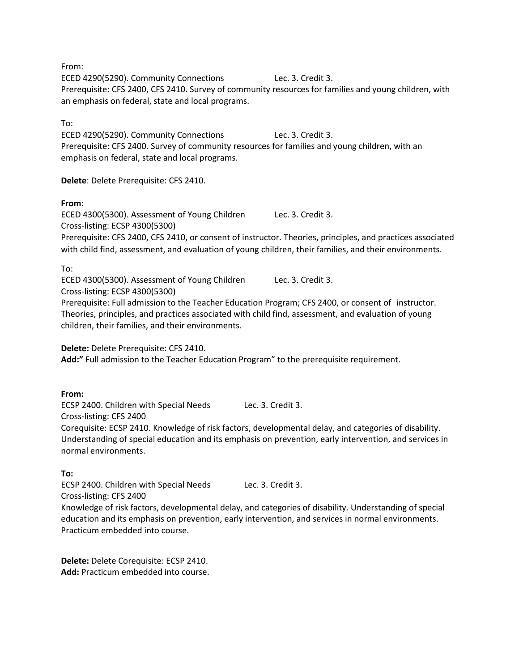From:

ECED 4290(5290). Community Connections Lec. 3. Credit 3. Prerequisite: CFS 2400, CFS 2410. Survey of community resources for families and young children, with an emphasis on federal, state and local programs.

To:

ECED 4290(5290). Community Connections Lec. 3. Credit 3. Prerequisite: CFS 2400. Survey of community resources for families and young children, with an emphasis on federal, state and local programs.

**Delete**: Delete Prerequisite: CFS 2410.

#### **From:**

ECED 4300(5300). Assessment of Young Children Lec. 3. Credit 3. Cross-listing: ECSP 4300(5300) Prerequisite: CFS 2400, CFS 2410, or consent of instructor. Theories, principles, and practices associated with child find, assessment, and evaluation of young children, their families, and their environments.

To:

ECED 4300(5300). Assessment of Young Children Lec. 3. Credit 3. Cross-listing: ECSP 4300(5300) Prerequisite: Full admission to the Teacher Education Program; CFS 2400, or consent of instructor. Theories, principles, and practices associated with child find, assessment, and evaluation of young children, their families, and their environments.

**Delete:** Delete Prerequisite: CFS 2410.

**Add:"** Full admission to the Teacher Education Program" to the prerequisite requirement.

## **From:**

ECSP 2400. Children with Special Needs Lec. 3. Credit 3. Cross-listing: CFS 2400

Corequisite: ECSP 2410. Knowledge of risk factors, developmental delay, and categories of disability. Understanding of special education and its emphasis on prevention, early intervention, and services in normal environments.

## **To:**

ECSP 2400. Children with Special Needs Lec. 3. Credit 3.

Cross-listing: CFS 2400

Knowledge of risk factors, developmental delay, and categories of disability. Understanding of special education and its emphasis on prevention, early intervention, and services in normal environments. Practicum embedded into course.

**Delete:** Delete Corequisite: ECSP 2410. **Add:** Practicum embedded into course.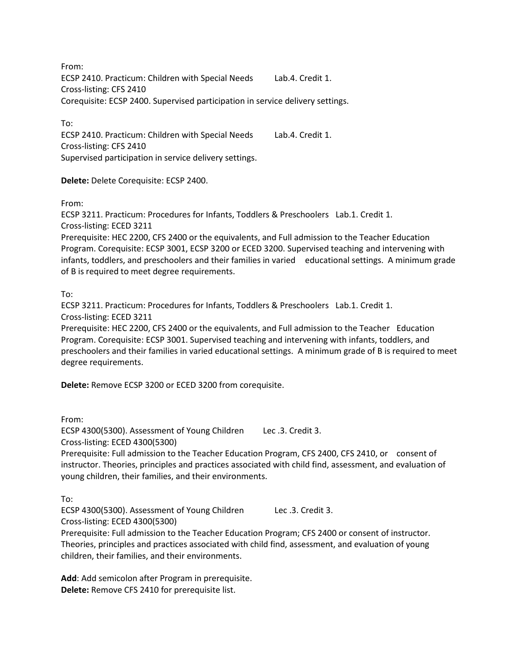From: ECSP 2410. Practicum: Children with Special Needs Lab.4. Credit 1. Cross-listing: CFS 2410 Corequisite: ECSP 2400. Supervised participation in service delivery settings.

To:

ECSP 2410. Practicum: Children with Special Needs Lab.4. Credit 1. Cross-listing: CFS 2410 Supervised participation in service delivery settings.

**Delete:** Delete Corequisite: ECSP 2400.

From:

ECSP 3211. Practicum: Procedures for Infants, Toddlers & Preschoolers Lab.1. Credit 1. Cross-listing: ECED 3211

Prerequisite: HEC 2200, CFS 2400 or the equivalents, and Full admission to the Teacher Education Program. Corequisite: ECSP 3001, ECSP 3200 or ECED 3200. Supervised teaching and intervening with infants, toddlers, and preschoolers and their families in varied educational settings. A minimum grade of B is required to meet degree requirements.

To:

ECSP 3211. Practicum: Procedures for Infants, Toddlers & Preschoolers Lab.1. Credit 1. Cross-listing: ECED 3211

Prerequisite: HEC 2200, CFS 2400 or the equivalents, and Full admission to the Teacher Education Program. Corequisite: ECSP 3001. Supervised teaching and intervening with infants, toddlers, and preschoolers and their families in varied educational settings. A minimum grade of B is required to meet degree requirements.

**Delete:** Remove ECSP 3200 or ECED 3200 from corequisite.

From:

ECSP 4300(5300). Assessment of Young Children Lec .3. Credit 3. Cross-listing: ECED 4300(5300)

Prerequisite: Full admission to the Teacher Education Program, CFS 2400, CFS 2410, or consent of instructor. Theories, principles and practices associated with child find, assessment, and evaluation of young children, their families, and their environments.

To:

ECSP 4300(5300). Assessment of Young Children Lec .3. Credit 3. Cross-listing: ECED 4300(5300)

Prerequisite: Full admission to the Teacher Education Program; CFS 2400 or consent of instructor. Theories, principles and practices associated with child find, assessment, and evaluation of young children, their families, and their environments.

**Add**: Add semicolon after Program in prerequisite. **Delete:** Remove CFS 2410 for prerequisite list.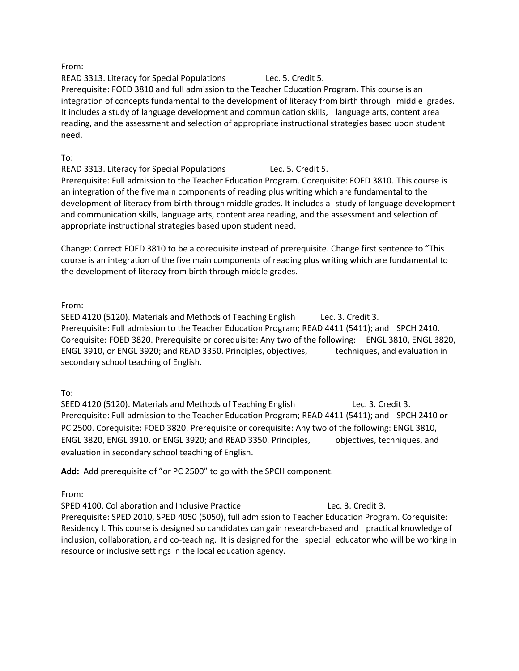## From:

READ 3313. Literacy for Special Populations Lec. 5. Credit 5. Prerequisite: FOED 3810 and full admission to the Teacher Education Program. This course is an integration of concepts fundamental to the development of literacy from birth through middle grades. It includes a study of language development and communication skills, language arts, content area reading, and the assessment and selection of appropriate instructional strategies based upon student need.

## To:

READ 3313. Literacy for Special Populations Lec. 5. Credit 5. Prerequisite: Full admission to the Teacher Education Program. Corequisite: FOED 3810. This course is an integration of the five main components of reading plus writing which are fundamental to the development of literacy from birth through middle grades. It includes a study of language development and communication skills, language arts, content area reading, and the assessment and selection of appropriate instructional strategies based upon student need.

Change: Correct FOED 3810 to be a corequisite instead of prerequisite. Change first sentence to "This course is an integration of the five main components of reading plus writing which are fundamental to the development of literacy from birth through middle grades.

From:

SEED 4120 (5120). Materials and Methods of Teaching English Lec. 3. Credit 3. Prerequisite: Full admission to the Teacher Education Program; READ 4411 (5411); and SPCH 2410. Corequisite: FOED 3820. Prerequisite or corequisite: Any two of the following: ENGL 3810, ENGL 3820, ENGL 3910, or ENGL 3920; and READ 3350. Principles, objectives, techniques, and evaluation in secondary school teaching of English.

## To:

SEED 4120 (5120). Materials and Methods of Teaching English Lec. 3. Credit 3. Prerequisite: Full admission to the Teacher Education Program; READ 4411 (5411); and SPCH 2410 or PC 2500. Corequisite: FOED 3820. Prerequisite or corequisite: Any two of the following: ENGL 3810, ENGL 3820, ENGL 3910, or ENGL 3920; and READ 3350. Principles, objectives, techniques, and evaluation in secondary school teaching of English.

**Add:** Add prerequisite of "or PC 2500" to go with the SPCH component.

From:

SPED 4100. Collaboration and Inclusive Practice Lec. 3. Credit 3. Prerequisite: SPED 2010, SPED 4050 (5050), full admission to Teacher Education Program. Corequisite: Residency I. This course is designed so candidates can gain research-based and practical knowledge of inclusion, collaboration, and co-teaching. It is designed for the special educator who will be working in resource or inclusive settings in the local education agency.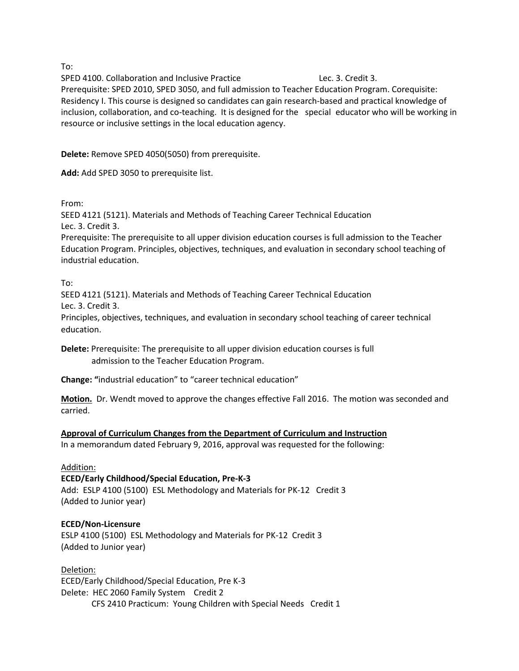To:

SPED 4100. Collaboration and Inclusive Practice Lec. 3. Credit 3.

Prerequisite: SPED 2010, SPED 3050, and full admission to Teacher Education Program. Corequisite: Residency I. This course is designed so candidates can gain research-based and practical knowledge of inclusion, collaboration, and co-teaching. It is designed for the special educator who will be working in resource or inclusive settings in the local education agency.

**Delete:** Remove SPED 4050(5050) from prerequisite.

**Add:** Add SPED 3050 to prerequisite list.

From:

SEED 4121 (5121). Materials and Methods of Teaching Career Technical Education Lec. 3. Credit 3.

Prerequisite: The prerequisite to all upper division education courses is full admission to the Teacher Education Program. Principles, objectives, techniques, and evaluation in secondary school teaching of industrial education.

To:

education.

SEED 4121 (5121). Materials and Methods of Teaching Career Technical Education Lec. 3. Credit 3. Principles, objectives, techniques, and evaluation in secondary school teaching of career technical

**Delete:** Prerequisite: The prerequisite to all upper division education courses is full admission to the Teacher Education Program.

**Change: "**industrial education" to "career technical education"

**Motion.** Dr. Wendt moved to approve the changes effective Fall 2016. The motion was seconded and carried.

**Approval of Curriculum Changes from the Department of Curriculum and Instruction**

In a memorandum dated February 9, 2016, approval was requested for the following:

# Addition:

# **ECED/Early Childhood/Special Education, Pre-K-3**

Add: ESLP 4100 (5100) ESL Methodology and Materials for PK-12 Credit 3 (Added to Junior year)

# **ECED/Non-Licensure**

ESLP 4100 (5100) ESL Methodology and Materials for PK-12 Credit 3 (Added to Junior year)

Deletion: ECED/Early Childhood/Special Education, Pre K-3 Delete: HEC 2060 Family System Credit 2 CFS 2410 Practicum: Young Children with Special Needs Credit 1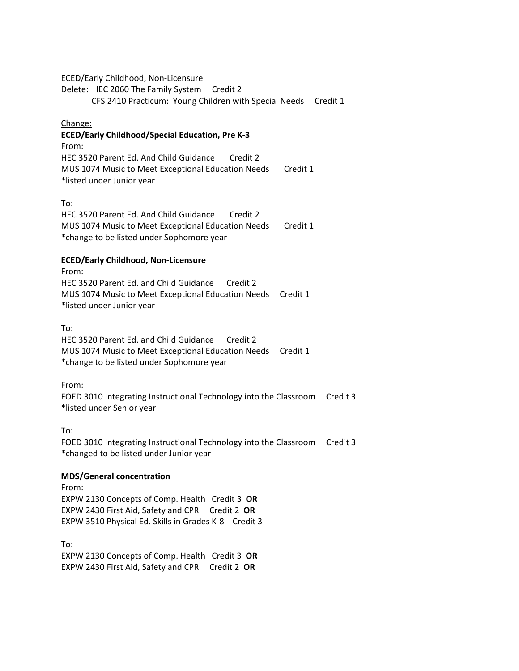ECED/Early Childhood, Non-Licensure

Delete: HEC 2060 The Family System Credit 2

CFS 2410 Practicum: Young Children with Special Needs Credit 1

## Change:

## **ECED/Early Childhood/Special Education, Pre K-3**

From: HEC 3520 Parent Ed. And Child Guidance Credit 2 MUS 1074 Music to Meet Exceptional Education Needs Credit 1 \*listed under Junior year

#### To:

HEC 3520 Parent Ed. And Child Guidance Credit 2 MUS 1074 Music to Meet Exceptional Education Needs Credit 1 \*change to be listed under Sophomore year

## **ECED/Early Childhood, Non-Licensure**

From: HEC 3520 Parent Ed. and Child Guidance Credit 2 MUS 1074 Music to Meet Exceptional Education Needs Credit 1 \*listed under Junior year

## To:

HEC 3520 Parent Ed. and Child Guidance Credit 2 MUS 1074 Music to Meet Exceptional Education Needs Credit 1 \*change to be listed under Sophomore year

## From:

FOED 3010 Integrating Instructional Technology into the Classroom Credit 3 \*listed under Senior year

# To:

FOED 3010 Integrating Instructional Technology into the Classroom Credit 3 \*changed to be listed under Junior year

# **MDS/General concentration**

From: EXPW 2130 Concepts of Comp. Health Credit 3 **OR** EXPW 2430 First Aid, Safety and CPR Credit 2 **OR** EXPW 3510 Physical Ed. Skills in Grades K-8 Credit 3

To: EXPW 2130 Concepts of Comp. Health Credit 3 **OR** EXPW 2430 First Aid, Safety and CPR Credit 2 **OR**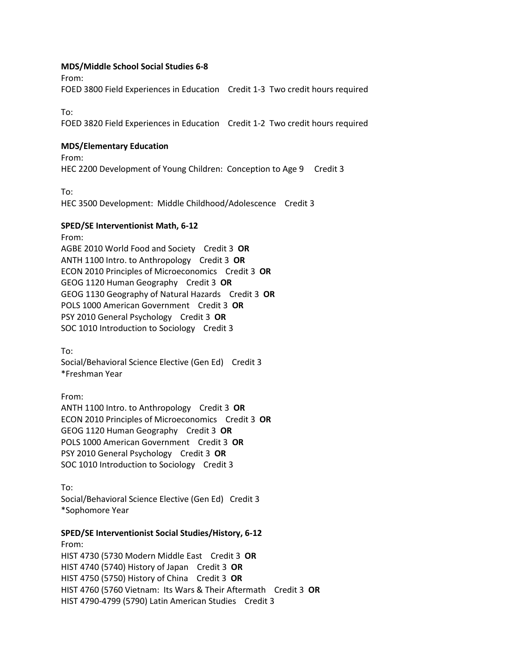#### **MDS/Middle School Social Studies 6-8**

From:

FOED 3800 Field Experiences in Education Credit 1-3 Two credit hours required

To:

FOED 3820 Field Experiences in Education Credit 1-2 Two credit hours required

#### **MDS/Elementary Education**

From: HEC 2200 Development of Young Children: Conception to Age 9 Credit 3

To:

HEC 3500 Development: Middle Childhood/Adolescence Credit 3

#### **SPED/SE Interventionist Math, 6-12**

From:

AGBE 2010 World Food and Society Credit 3 **OR** ANTH 1100 Intro. to Anthropology Credit 3 **OR** ECON 2010 Principles of Microeconomics Credit 3 **OR** GEOG 1120 Human Geography Credit 3 **OR** GEOG 1130 Geography of Natural Hazards Credit 3 **OR**  POLS 1000 American Government Credit 3 **OR** PSY 2010 General Psychology Credit 3 **OR** SOC 1010 Introduction to Sociology Credit 3

To:

Social/Behavioral Science Elective (Gen Ed) Credit 3 \*Freshman Year

From: ANTH 1100 Intro. to Anthropology Credit 3 **OR** ECON 2010 Principles of Microeconomics Credit 3 **OR** GEOG 1120 Human Geography Credit 3 **OR** POLS 1000 American Government Credit 3 **OR** PSY 2010 General Psychology Credit 3 **OR** SOC 1010 Introduction to Sociology Credit 3

To: Social/Behavioral Science Elective (Gen Ed) Credit 3 \*Sophomore Year

#### **SPED/SE Interventionist Social Studies/History, 6-12**

From: HIST 4730 (5730 Modern Middle East Credit 3 **OR** HIST 4740 (5740) History of Japan Credit 3 **OR**  HIST 4750 (5750) History of China Credit 3 **OR** HIST 4760 (5760 Vietnam: Its Wars & Their Aftermath Credit 3 **OR**  HIST 4790-4799 (5790) Latin American Studies Credit 3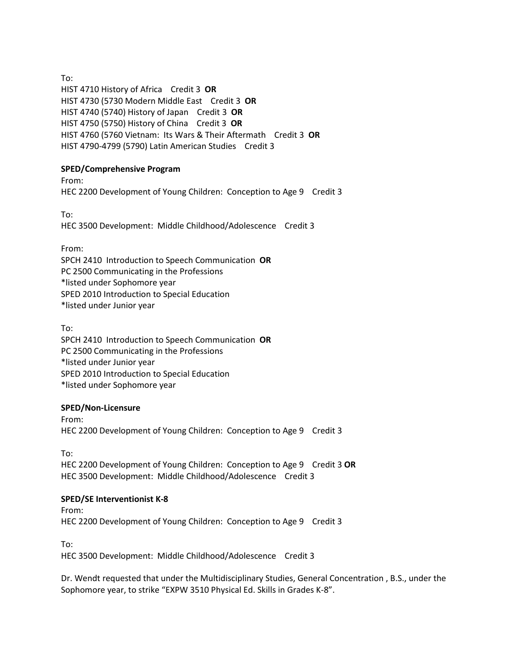To: HIST 4710 History of Africa Credit 3 **OR** HIST 4730 (5730 Modern Middle East Credit 3 **OR** HIST 4740 (5740) History of Japan Credit 3 **OR**  HIST 4750 (5750) History of China Credit 3 **OR** HIST 4760 (5760 Vietnam: Its Wars & Their Aftermath Credit 3 **OR**  HIST 4790-4799 (5790) Latin American Studies Credit 3

# **SPED/Comprehensive Program**

From: HEC 2200 Development of Young Children: Conception to Age 9 Credit 3

To: HEC 3500 Development: Middle Childhood/Adolescence Credit 3

From:

SPCH 2410 Introduction to Speech Communication **OR**  PC 2500 Communicating in the Professions \*listed under Sophomore year SPED 2010 Introduction to Special Education \*listed under Junior year

To: SPCH 2410 Introduction to Speech Communication **OR**  PC 2500 Communicating in the Professions \*listed under Junior year SPED 2010 Introduction to Special Education \*listed under Sophomore year

# **SPED/Non-Licensure**

From: HEC 2200 Development of Young Children: Conception to Age 9 Credit 3

To: HEC 2200 Development of Young Children: Conception to Age 9 Credit 3 **OR**  HEC 3500 Development: Middle Childhood/Adolescence Credit 3

## **SPED/SE Interventionist K-8**

From: HEC 2200 Development of Young Children: Conception to Age 9 Credit 3

To:

HEC 3500 Development: Middle Childhood/Adolescence Credit 3

Dr. Wendt requested that under the Multidisciplinary Studies, General Concentration , B.S., under the Sophomore year, to strike "EXPW 3510 Physical Ed. Skills in Grades K-8".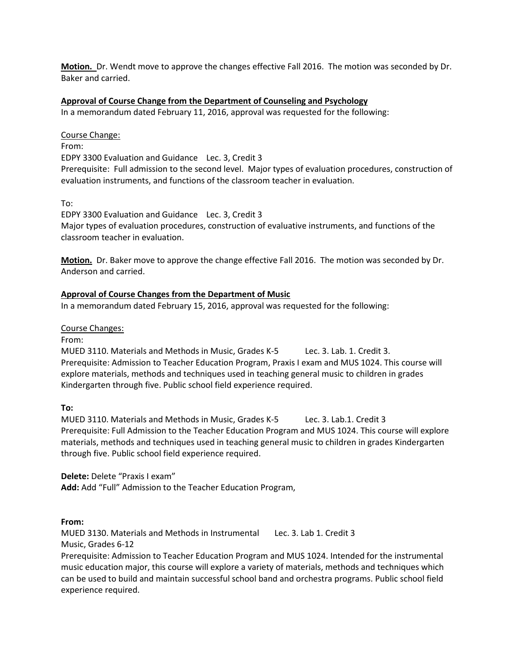**Motion.** Dr. Wendt move to approve the changes effective Fall 2016. The motion was seconded by Dr. Baker and carried.

#### **Approval of Course Change from the Department of Counseling and Psychology**

In a memorandum dated February 11, 2016, approval was requested for the following:

#### Course Change:

From:

EDPY 3300 Evaluation and Guidance Lec. 3, Credit 3

Prerequisite: Full admission to the second level. Major types of evaluation procedures, construction of evaluation instruments, and functions of the classroom teacher in evaluation.

To:

EDPY 3300 Evaluation and Guidance Lec. 3, Credit 3 Major types of evaluation procedures, construction of evaluative instruments, and functions of the classroom teacher in evaluation.

**Motion.** Dr. Baker move to approve the change effective Fall 2016. The motion was seconded by Dr. Anderson and carried.

## **Approval of Course Changes from the Department of Music**

In a memorandum dated February 15, 2016, approval was requested for the following:

#### Course Changes:

From:

MUED 3110. Materials and Methods in Music, Grades K-5 Lec. 3. Lab. 1. Credit 3. Prerequisite: Admission to Teacher Education Program, Praxis I exam and MUS 1024. This course will explore materials, methods and techniques used in teaching general music to children in grades Kindergarten through five. Public school field experience required.

#### **To:**

MUED 3110. Materials and Methods in Music, Grades K-5 Lec. 3. Lab.1. Credit 3 Prerequisite: Full Admission to the Teacher Education Program and MUS 1024. This course will explore materials, methods and techniques used in teaching general music to children in grades Kindergarten through five. Public school field experience required.

**Delete:** Delete "Praxis I exam" **Add:** Add "Full" Admission to the Teacher Education Program,

**From:**

MUED 3130. Materials and Methods in Instrumental Lec. 3. Lab 1. Credit 3 Music, Grades 6-12

Prerequisite: Admission to Teacher Education Program and MUS 1024. Intended for the instrumental music education major, this course will explore a variety of materials, methods and techniques which can be used to build and maintain successful school band and orchestra programs. Public school field experience required.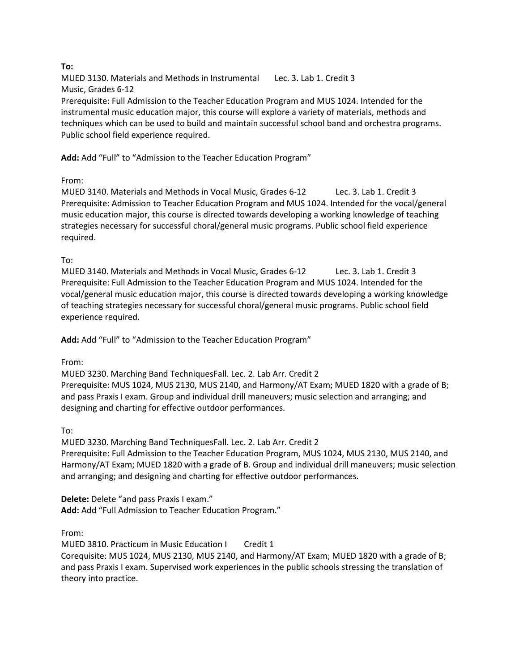# **To:**

MUED 3130. Materials and Methods in Instrumental Lec. 3. Lab 1. Credit 3 Music, Grades 6-12 Prerequisite: Full Admission to the Teacher Education Program and MUS 1024. Intended for the instrumental music education major, this course will explore a variety of materials, methods and techniques which can be used to build and maintain successful school band and orchestra programs. Public school field experience required.

**Add:** Add "Full" to "Admission to the Teacher Education Program"

From:

MUED 3140. Materials and Methods in Vocal Music, Grades 6-12 Lec. 3. Lab 1. Credit 3 Prerequisite: Admission to Teacher Education Program and MUS 1024. Intended for the vocal/general music education major, this course is directed towards developing a working knowledge of teaching strategies necessary for successful choral/general music programs. Public school field experience required.

To:

MUED 3140. Materials and Methods in Vocal Music, Grades 6-12 Lec. 3. Lab 1. Credit 3 Prerequisite: Full Admission to the Teacher Education Program and MUS 1024. Intended for the vocal/general music education major, this course is directed towards developing a working knowledge of teaching strategies necessary for successful choral/general music programs. Public school field experience required.

**Add:** Add "Full" to "Admission to the Teacher Education Program"

From:

MUED 3230. Marching Band TechniquesFall. Lec. 2. Lab Arr. Credit 2 Prerequisite: MUS 1024, MUS 2130, MUS 2140, and Harmony/AT Exam; MUED 1820 with a grade of B; and pass Praxis I exam. Group and individual drill maneuvers; music selection and arranging; and designing and charting for effective outdoor performances.

To:

MUED 3230. Marching Band TechniquesFall. Lec. 2. Lab Arr. Credit 2 Prerequisite: Full Admission to the Teacher Education Program, MUS 1024, MUS 2130, MUS 2140, and Harmony/AT Exam; MUED 1820 with a grade of B. Group and individual drill maneuvers; music selection and arranging; and designing and charting for effective outdoor performances.

**Delete:** Delete "and pass Praxis I exam." **Add:** Add "Full Admission to Teacher Education Program."

From:

MUED 3810. Practicum in Music Education I Credit 1 Corequisite: MUS 1024, MUS 2130, MUS 2140, and Harmony/AT Exam; MUED 1820 with a grade of B; and pass Praxis I exam. Supervised work experiences in the public schools stressing the translation of theory into practice.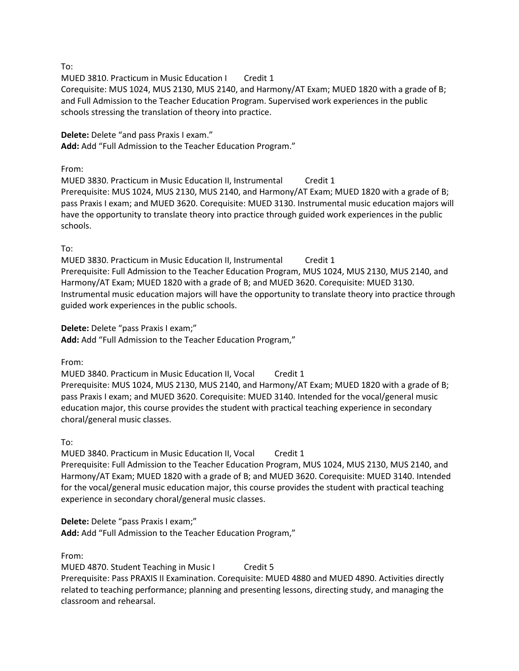To:

MUED 3810. Practicum in Music Education I Credit 1

Corequisite: MUS 1024, MUS 2130, MUS 2140, and Harmony/AT Exam; MUED 1820 with a grade of B; and Full Admission to the Teacher Education Program. Supervised work experiences in the public schools stressing the translation of theory into practice.

## **Delete:** Delete "and pass Praxis I exam."

**Add:** Add "Full Admission to the Teacher Education Program."

# From:

MUED 3830. Practicum in Music Education II, Instrumental Credit 1 Prerequisite: MUS 1024, MUS 2130, MUS 2140, and Harmony/AT Exam; MUED 1820 with a grade of B; pass Praxis I exam; and MUED 3620. Corequisite: MUED 3130. Instrumental music education majors will have the opportunity to translate theory into practice through guided work experiences in the public schools.

# To:

MUED 3830. Practicum in Music Education II, Instrumental Credit 1 Prerequisite: Full Admission to the Teacher Education Program, MUS 1024, MUS 2130, MUS 2140, and Harmony/AT Exam; MUED 1820 with a grade of B; and MUED 3620. Corequisite: MUED 3130. Instrumental music education majors will have the opportunity to translate theory into practice through guided work experiences in the public schools.

# **Delete:** Delete "pass Praxis I exam;"

**Add:** Add "Full Admission to the Teacher Education Program,"

From:

MUED 3840. Practicum in Music Education II, Vocal Credit 1 Prerequisite: MUS 1024, MUS 2130, MUS 2140, and Harmony/AT Exam; MUED 1820 with a grade of B; pass Praxis I exam; and MUED 3620. Corequisite: MUED 3140. Intended for the vocal/general music education major, this course provides the student with practical teaching experience in secondary choral/general music classes.

To:

MUED 3840. Practicum in Music Education II, Vocal Credit 1 Prerequisite: Full Admission to the Teacher Education Program, MUS 1024, MUS 2130, MUS 2140, and Harmony/AT Exam; MUED 1820 with a grade of B; and MUED 3620. Corequisite: MUED 3140. Intended for the vocal/general music education major, this course provides the student with practical teaching experience in secondary choral/general music classes.

# **Delete:** Delete "pass Praxis I exam;"

**Add:** Add "Full Admission to the Teacher Education Program,"

From:

MUED 4870. Student Teaching in Music I Credit 5 Prerequisite: Pass PRAXIS II Examination. Corequisite: MUED 4880 and MUED 4890. Activities directly related to teaching performance; planning and presenting lessons, directing study, and managing the classroom and rehearsal.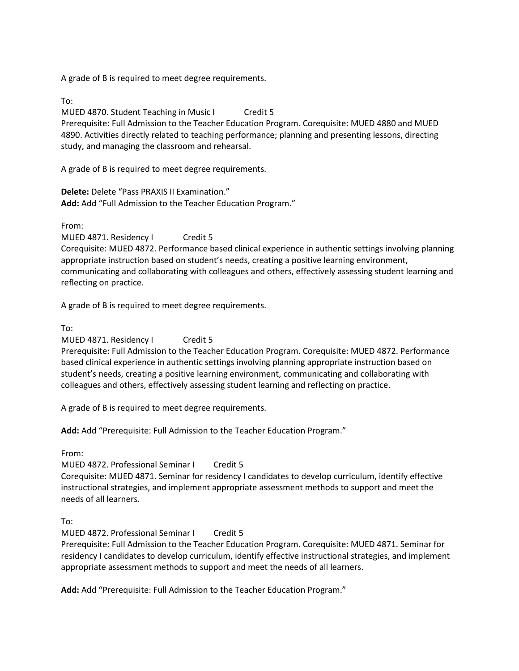A grade of B is required to meet degree requirements.

To:

MUED 4870. Student Teaching in Music I Credit 5 Prerequisite: Full Admission to the Teacher Education Program. Corequisite: MUED 4880 and MUED 4890. Activities directly related to teaching performance; planning and presenting lessons, directing study, and managing the classroom and rehearsal.

A grade of B is required to meet degree requirements.

**Delete:** Delete "Pass PRAXIS II Examination." **Add:** Add "Full Admission to the Teacher Education Program."

From:

MUED 4871. Residency I Credit 5 Corequisite: MUED 4872. Performance based clinical experience in authentic settings involving planning appropriate instruction based on student's needs, creating a positive learning environment, communicating and collaborating with colleagues and others, effectively assessing student learning and reflecting on practice.

A grade of B is required to meet degree requirements.

To:

MUED 4871. Residency I Credit 5

Prerequisite: Full Admission to the Teacher Education Program. Corequisite: MUED 4872. Performance based clinical experience in authentic settings involving planning appropriate instruction based on student's needs, creating a positive learning environment, communicating and collaborating with colleagues and others, effectively assessing student learning and reflecting on practice.

A grade of B is required to meet degree requirements.

**Add:** Add "Prerequisite: Full Admission to the Teacher Education Program."

From:

MUED 4872. Professional Seminar I Credit 5

Corequisite: MUED 4871. Seminar for residency I candidates to develop curriculum, identify effective instructional strategies, and implement appropriate assessment methods to support and meet the needs of all learners.

To:

MUED 4872. Professional Seminar I Credit 5

Prerequisite: Full Admission to the Teacher Education Program. Corequisite: MUED 4871. Seminar for residency I candidates to develop curriculum, identify effective instructional strategies, and implement appropriate assessment methods to support and meet the needs of all learners.

**Add:** Add "Prerequisite: Full Admission to the Teacher Education Program."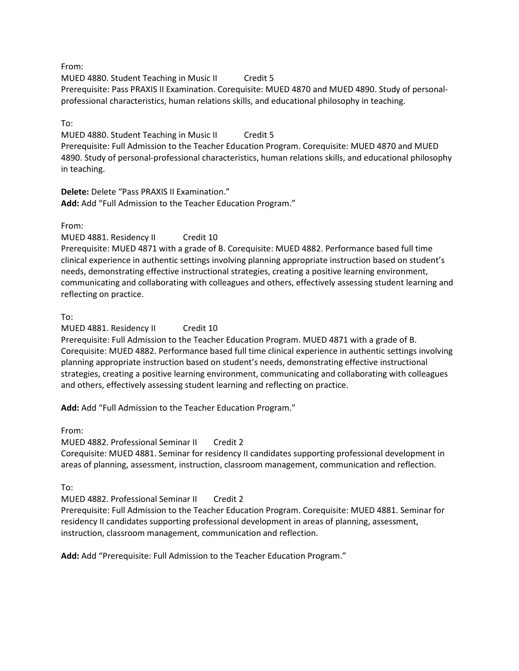# From:

MUED 4880. Student Teaching in Music II Credit 5 Prerequisite: Pass PRAXIS II Examination. Corequisite: MUED 4870 and MUED 4890. Study of personalprofessional characteristics, human relations skills, and educational philosophy in teaching.

# To:

MUED 4880. Student Teaching in Music II Credit 5 Prerequisite: Full Admission to the Teacher Education Program. Corequisite: MUED 4870 and MUED 4890. Study of personal-professional characteristics, human relations skills, and educational philosophy in teaching.

**Delete:** Delete "Pass PRAXIS II Examination." **Add:** Add "Full Admission to the Teacher Education Program."

From:

MUED 4881. Residency II Credit 10 Prerequisite: MUED 4871 with a grade of B. Corequisite: MUED 4882. Performance based full time clinical experience in authentic settings involving planning appropriate instruction based on student's needs, demonstrating effective instructional strategies, creating a positive learning environment, communicating and collaborating with colleagues and others, effectively assessing student learning and reflecting on practice.

# To:

MUED 4881. Residency II Credit 10

Prerequisite: Full Admission to the Teacher Education Program. MUED 4871 with a grade of B. Corequisite: MUED 4882. Performance based full time clinical experience in authentic settings involving planning appropriate instruction based on student's needs, demonstrating effective instructional strategies, creating a positive learning environment, communicating and collaborating with colleagues and others, effectively assessing student learning and reflecting on practice.

**Add:** Add "Full Admission to the Teacher Education Program."

From:

MUED 4882. Professional Seminar II Credit 2

Corequisite: MUED 4881. Seminar for residency II candidates supporting professional development in areas of planning, assessment, instruction, classroom management, communication and reflection.

To:

MUED 4882. Professional Seminar II Credit 2

Prerequisite: Full Admission to the Teacher Education Program. Corequisite: MUED 4881. Seminar for residency II candidates supporting professional development in areas of planning, assessment, instruction, classroom management, communication and reflection.

**Add:** Add "Prerequisite: Full Admission to the Teacher Education Program."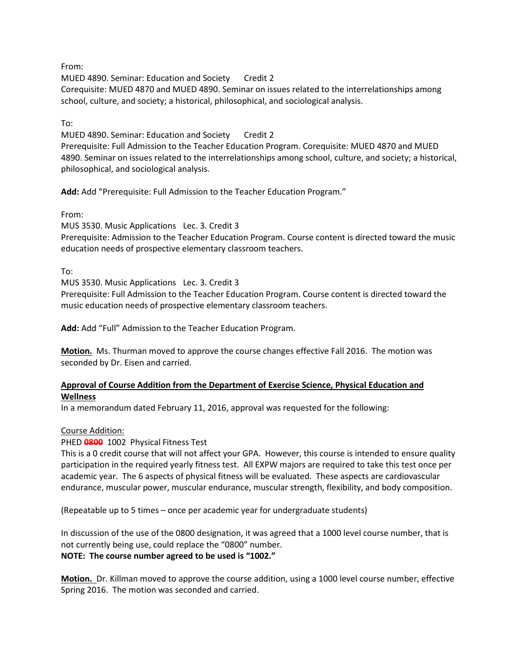From:

MUED 4890. Seminar: Education and Society Credit 2

Corequisite: MUED 4870 and MUED 4890. Seminar on issues related to the interrelationships among school, culture, and society; a historical, philosophical, and sociological analysis.

To:

MUED 4890. Seminar: Education and Society Credit 2 Prerequisite: Full Admission to the Teacher Education Program. Corequisite: MUED 4870 and MUED 4890. Seminar on issues related to the interrelationships among school, culture, and society; a historical, philosophical, and sociological analysis.

**Add:** Add "Prerequisite: Full Admission to the Teacher Education Program."

From:

MUS 3530. Music Applications Lec. 3. Credit 3

Prerequisite: Admission to the Teacher Education Program. Course content is directed toward the music education needs of prospective elementary classroom teachers.

To:

MUS 3530. Music Applications Lec. 3. Credit 3

Prerequisite: Full Admission to the Teacher Education Program. Course content is directed toward the music education needs of prospective elementary classroom teachers.

**Add:** Add "Full" Admission to the Teacher Education Program.

**Motion.** Ms. Thurman moved to approve the course changes effective Fall 2016. The motion was seconded by Dr. Eisen and carried.

# **Approval of Course Addition from the Department of Exercise Science, Physical Education and Wellness**

In a memorandum dated February 11, 2016, approval was requested for the following:

# Course Addition:

PHED **0800** 1002 Physical Fitness Test

This is a 0 credit course that will not affect your GPA. However, this course is intended to ensure quality participation in the required yearly fitness test. All EXPW majors are required to take this test once per academic year. The 6 aspects of physical fitness will be evaluated. These aspects are cardiovascular endurance, muscular power, muscular endurance, muscular strength, flexibility, and body composition.

(Repeatable up to 5 times – once per academic year for undergraduate students)

In discussion of the use of the 0800 designation, it was agreed that a 1000 level course number, that is not currently being use, could replace the "0800" number. **NOTE: The course number agreed to be used is "1002."**

**Motion.** Dr. Killman moved to approve the course addition, using a 1000 level course number, effective Spring 2016. The motion was seconded and carried.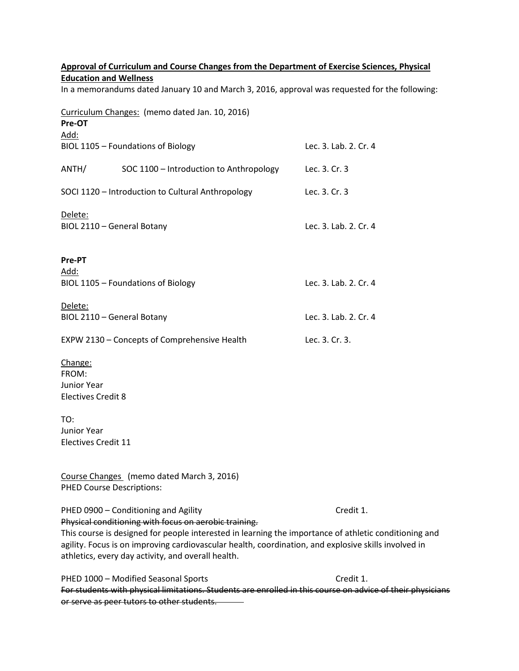| Approval of Curriculum and Course Changes from the Department of Exercise Sciences, Physical                                    |                                                                                                            |                       |  |  |
|---------------------------------------------------------------------------------------------------------------------------------|------------------------------------------------------------------------------------------------------------|-----------------------|--|--|
| <b>Education and Wellness</b><br>In a memorandums dated January 10 and March 3, 2016, approval was requested for the following: |                                                                                                            |                       |  |  |
|                                                                                                                                 |                                                                                                            |                       |  |  |
| Pre-OT                                                                                                                          |                                                                                                            |                       |  |  |
| <u> Add:</u>                                                                                                                    |                                                                                                            |                       |  |  |
|                                                                                                                                 | BIOL 1105 - Foundations of Biology                                                                         | Lec. 3. Lab. 2. Cr. 4 |  |  |
| ANTH/                                                                                                                           | SOC 1100 - Introduction to Anthropology                                                                    | Lec. 3. Cr. 3         |  |  |
|                                                                                                                                 | SOCI 1120 - Introduction to Cultural Anthropology                                                          | Lec. 3. Cr. 3         |  |  |
| <u>Delete:</u>                                                                                                                  |                                                                                                            |                       |  |  |
|                                                                                                                                 | BIOL 2110 - General Botany                                                                                 | Lec. 3. Lab. 2. Cr. 4 |  |  |
|                                                                                                                                 |                                                                                                            |                       |  |  |
| Pre-PT                                                                                                                          |                                                                                                            |                       |  |  |
| <u> Add:</u>                                                                                                                    |                                                                                                            |                       |  |  |
|                                                                                                                                 | BIOL 1105 - Foundations of Biology                                                                         | Lec. 3. Lab. 2. Cr. 4 |  |  |
| <u>Delete:</u>                                                                                                                  |                                                                                                            |                       |  |  |
|                                                                                                                                 | BIOL 2110 - General Botany                                                                                 | Lec. 3. Lab. 2. Cr. 4 |  |  |
|                                                                                                                                 | EXPW 2130 - Concepts of Comprehensive Health                                                               | Lec. 3. Cr. 3.        |  |  |
|                                                                                                                                 |                                                                                                            |                       |  |  |
| Change:<br>FROM:                                                                                                                |                                                                                                            |                       |  |  |
| Junior Year                                                                                                                     |                                                                                                            |                       |  |  |
| <b>Electives Credit 8</b>                                                                                                       |                                                                                                            |                       |  |  |
|                                                                                                                                 |                                                                                                            |                       |  |  |
| TO:                                                                                                                             |                                                                                                            |                       |  |  |
| Junior Year                                                                                                                     |                                                                                                            |                       |  |  |
| Electives Credit 11                                                                                                             |                                                                                                            |                       |  |  |
|                                                                                                                                 |                                                                                                            |                       |  |  |
|                                                                                                                                 | Course Changes (memo dated March 3, 2016)                                                                  |                       |  |  |
|                                                                                                                                 | <b>PHED Course Descriptions:</b>                                                                           |                       |  |  |
|                                                                                                                                 | PHED 0900 - Conditioning and Agility                                                                       | Credit 1.             |  |  |
|                                                                                                                                 | Physical conditioning with focus on aerobic training.                                                      |                       |  |  |
|                                                                                                                                 | This course is designed for people interested in learning the importance of athletic conditioning and      |                       |  |  |
|                                                                                                                                 | agility. Focus is on improving cardiovascular health, coordination, and explosive skills involved in       |                       |  |  |
|                                                                                                                                 | athletics, every day activity, and overall health.                                                         |                       |  |  |
|                                                                                                                                 | PHED 1000 - Modified Seasonal Sports                                                                       | Credit 1.             |  |  |
|                                                                                                                                 | For students with physical limitations. Students are enrolled in this course on advice of their physicians |                       |  |  |
|                                                                                                                                 | or serve as peer tutors to other students.                                                                 |                       |  |  |
|                                                                                                                                 |                                                                                                            |                       |  |  |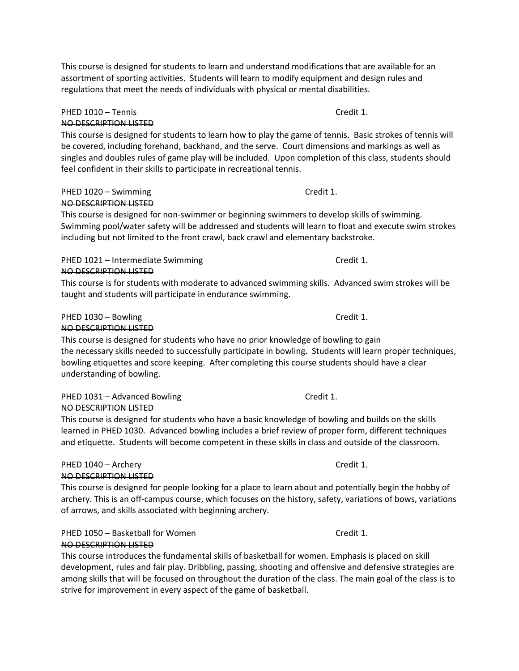This course is designed for students to learn and understand modifications that are available for an assortment of sporting activities. Students will learn to modify equipment and design rules and regulations that meet the needs of individuals with physical or mental disabilities.

#### PHED 1010 – Tennis Credit 1. NO DESCRIPTION LISTED

This course is designed for students to learn how to play the game of tennis. Basic strokes of tennis will be covered, including forehand, backhand, and the serve. Court dimensions and markings as well as singles and doubles rules of game play will be included. Upon completion of this class, students should feel confident in their skills to participate in recreational tennis.

#### PHED 1020 – Swimming Credit 1. NO DESCRIPTION LISTED

This course is designed for non-swimmer or beginning swimmers to develop skills of swimming. Swimming pool/water safety will be addressed and students will learn to float and execute swim strokes including but not limited to the front crawl, back crawl and elementary backstroke.

# PHED 1021 – Intermediate Swimming Credit 1. NO DESCRIPTION LISTED

This course is for students with moderate to advanced swimming skills. Advanced swim strokes will be taught and students will participate in endurance swimming.

# PHED 1030 – Bowling Credit 1.

# NO DESCRIPTION LISTED

This course is designed for students who have no prior knowledge of bowling to gain the necessary skills needed to successfully participate in bowling. Students will learn proper techniques, bowling etiquettes and score keeping. After completing this course students should have a clear understanding of bowling.

#### PHED 1031 – Advanced Bowling Credit 1. NO DESCRIPTION LISTED

This course is designed for students who have a basic knowledge of bowling and builds on the skills learned in PHED 1030. Advanced bowling includes a brief review of proper form, different techniques and etiquette. Students will become competent in these skills in class and outside of the classroom.

#### PHED 1040 – Archery Credit 1. NO DESCRIPTION LISTED

This course is designed for people looking for a place to learn about and potentially begin the hobby of archery. This is an off-campus course, which focuses on the history, safety, variations of bows, variations of arrows, and skills associated with beginning archery.

PHED 1050 – Basketball for Women Credit 1.

# NO DESCRIPTION LISTED

This course introduces the fundamental skills of basketball for women. Emphasis is placed on skill development, rules and fair play. Dribbling, passing, shooting and offensive and defensive strategies are among skills that will be focused on throughout the duration of the class. The main goal of the class is to strive for improvement in every aspect of the game of basketball.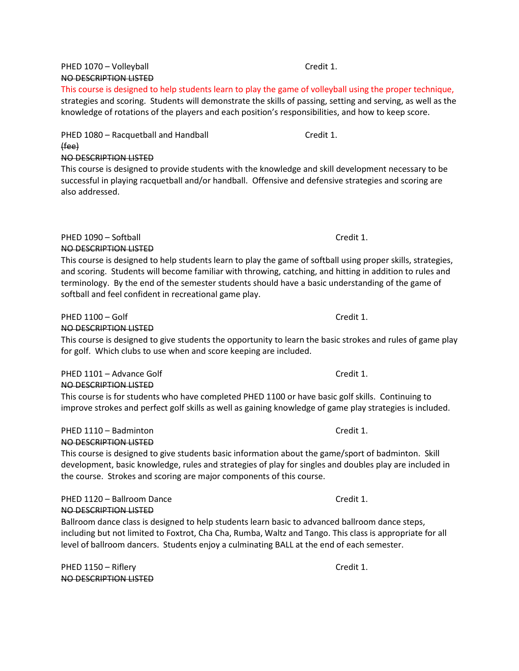# PHED 1070 – Volleyball **Credit 1.** The Credit 1. NO DESCRIPTION LISTED

This course is designed to help students learn to play the game of volleyball using the proper technique, strategies and scoring. Students will demonstrate the skills of passing, setting and serving, as well as the knowledge of rotations of the players and each position's responsibilities, and how to keep score.

PHED 1080 - Racquetball and Handball Credit 1. (fee) NO DESCRIPTION LISTED

This course is designed to provide students with the knowledge and skill development necessary to be successful in playing racquetball and/or handball. Offensive and defensive strategies and scoring are also addressed.

PHED 1090 – Softball Credit 1. NO DESCRIPTION LISTED

This course is designed to help students learn to play the game of softball using proper skills, strategies, and scoring. Students will become familiar with throwing, catching, and hitting in addition to rules and terminology. By the end of the semester students should have a basic understanding of the game of softball and feel confident in recreational game play.

# PHED 1100 – Golf Credit 1.

# NO DESCRIPTION LISTED

This course is designed to give students the opportunity to learn the basic strokes and rules of game play for golf. Which clubs to use when and score keeping are included.

#### PHED 1101 – Advance Golf Credit 1. NO DESCRIPTION LISTED

This course is for students who have completed PHED 1100 or have basic golf skills. Continuing to improve strokes and perfect golf skills as well as gaining knowledge of game play strategies is included.

#### PHED 1110 – Badminton Credit 1. NO DESCRIPTION LISTED

This course is designed to give students basic information about the game/sport of badminton. Skill development, basic knowledge, rules and strategies of play for singles and doubles play are included in the course. Strokes and scoring are major components of this course.

#### PHED 1120 – Ballroom Dance Credit 1. NO DESCRIPTION LISTED

Ballroom dance class is designed to help students learn basic to advanced ballroom dance steps, including but not limited to Foxtrot, Cha Cha, Rumba, Waltz and Tango. This class is appropriate for all level of ballroom dancers. Students enjoy a culminating BALL at the end of each semester.

PHED 1150 – Riflery Credit 1. NO DESCRIPTION LISTED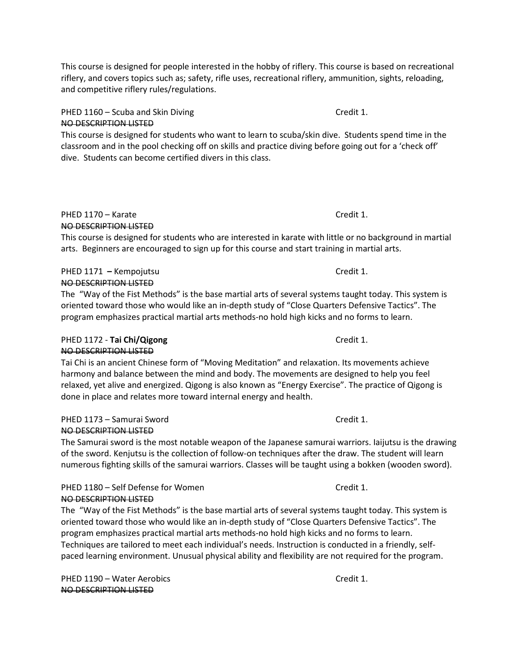This course is designed for people interested in the hobby of riflery. This course is based on recreational riflery, and covers topics such as; safety, rifle uses, recreational riflery, ammunition, sights, reloading, and competitive riflery rules/regulations.

PHED 1160 – Scuba and Skin Diving Credit 1. NO DESCRIPTION LISTED

This course is designed for students who want to learn to scuba/skin dive. Students spend time in the classroom and in the pool checking off on skills and practice diving before going out for a 'check off' dive. Students can become certified divers in this class.

# PHED 1170 – Karate Credit 1. NO DESCRIPTION LISTED

This course is designed for students who are interested in karate with little or no background in martial arts. Beginners are encouraged to sign up for this course and start training in martial arts.

#### PHED 1171 – Kempojutsu **Credit 1.** Credit 1. NO DESCRIPTION LISTED

The "Way of the Fist Methods" is the base martial arts of several systems taught today. This system is oriented toward those who would like an in-depth study of "Close Quarters Defensive Tactics". The program emphasizes practical martial arts methods-no hold high kicks and no forms to learn.

# PHED 1172 - **Tai Chi/Qigong** Credit 1. NO DESCRIPTION LISTED

Tai Chi is an ancient Chinese form of "Moving Meditation" and relaxation. Its movements achieve harmony and balance between the mind and body. The movements are designed to help you feel relaxed, yet alive and energized. Qigong is also known as "Energy Exercise". The practice of Qigong is done in place and relates more toward internal energy and health.

PHED 1173 – Samurai Sword Credit 1. NO DESCRIPTION LISTED

The Samurai sword is the most notable weapon of the Japanese samurai warriors. Iaijutsu is the drawing of the sword. Kenjutsu is the collection of follow-on techniques after the draw. The student will learn numerous fighting skills of the samurai warriors. Classes will be taught using a bokken (wooden sword).

PHED 1180 – Self Defense for Women Credit 1. NO DESCRIPTION LISTED

The "Way of the Fist Methods" is the base martial arts of several systems taught today. This system is oriented toward those who would like an in-depth study of "Close Quarters Defensive Tactics". The program emphasizes practical martial arts methods-no hold high kicks and no forms to learn. Techniques are tailored to meet each individual's needs. Instruction is conducted in a friendly, selfpaced learning environment. Unusual physical ability and flexibility are not required for the program.

PHED 1190 – Water Aerobics Credit 1. NO DESCRIPTION LISTED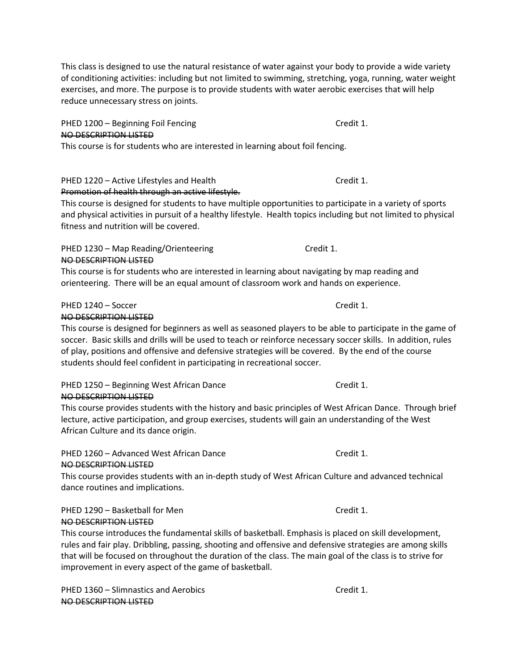This class is designed to use the natural resistance of water against your body to provide a wide variety of conditioning activities: including but not limited to swimming, stretching, yoga, running, water weight exercises, and more. The purpose is to provide students with water aerobic exercises that will help reduce unnecessary stress on joints.

PHED 1200 – Beginning Foil Fencing Credit 1. NO DESCRIPTION LISTED This course is for students who are interested in learning about foil fencing.

# PHED 1220 – Active Lifestyles and Health Credit 1.

# Promotion of health through an active lifestyle.

This course is designed for students to have multiple opportunities to participate in a variety of sports and physical activities in pursuit of a healthy lifestyle. Health topics including but not limited to physical fitness and nutrition will be covered.

# PHED 1230 – Map Reading/Orienteering Credit 1. NO DESCRIPTION LISTED

This course is for students who are interested in learning about navigating by map reading and orienteering. There will be an equal amount of classroom work and hands on experience.

# PHED 1240 – Soccer Credit 1.

# NO DESCRIPTION LISTED

This course is designed for beginners as well as seasoned players to be able to participate in the game of soccer. Basic skills and drills will be used to teach or reinforce necessary soccer skills. In addition, rules of play, positions and offensive and defensive strategies will be covered. By the end of the course students should feel confident in participating in recreational soccer.

# PHED 1250 – Beginning West African Dance Credit 1. NO DESCRIPTION LISTED

This course provides students with the history and basic principles of West African Dance. Through brief lecture, active participation, and group exercises, students will gain an understanding of the West African Culture and its dance origin.

# PHED 1260 – Advanced West African Dance Credit 1. NO DESCRIPTION LISTED

This course provides students with an in-depth study of West African Culture and advanced technical dance routines and implications.

# PHED 1290 – Basketball for Men Credit 1. NO DESCRIPTION LISTED

This course introduces the fundamental skills of basketball. Emphasis is placed on skill development, rules and fair play. Dribbling, passing, shooting and offensive and defensive strategies are among skills that will be focused on throughout the duration of the class. The main goal of the class is to strive for improvement in every aspect of the game of basketball.

PHED 1360 – Slimnastics and Aerobics Credit 1. NO DESCRIPTION LISTED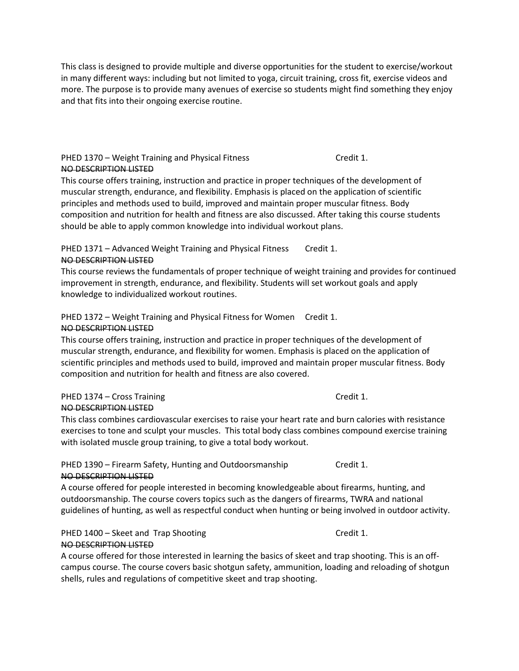This class is designed to provide multiple and diverse opportunities for the student to exercise/workout in many different ways: including but not limited to yoga, circuit training, cross fit, exercise videos and more. The purpose is to provide many avenues of exercise so students might find something they enjoy and that fits into their ongoing exercise routine.

## PHED 1370 – Weight Training and Physical Fitness Credit 1. NO DESCRIPTION LISTED

This course offers training, instruction and practice in proper techniques of the development of muscular strength, endurance, and flexibility. Emphasis is placed on the application of scientific principles and methods used to build, improved and maintain proper muscular fitness. Body composition and nutrition for health and fitness are also discussed. After taking this course students should be able to apply common knowledge into individual workout plans.

#### PHED 1371 – Advanced Weight Training and Physical Fitness Credit 1. NO DESCRIPTION LISTED

This course reviews the fundamentals of proper technique of weight training and provides for continued improvement in strength, endurance, and flexibility. Students will set workout goals and apply knowledge to individualized workout routines.

# PHED 1372 – Weight Training and Physical Fitness for Women Credit 1. NO DESCRIPTION LISTED

This course offers training, instruction and practice in proper techniques of the development of muscular strength, endurance, and flexibility for women. Emphasis is placed on the application of scientific principles and methods used to build, improved and maintain proper muscular fitness. Body composition and nutrition for health and fitness are also covered.

#### PHED 1374 – Cross Training Credit 1. NO DESCRIPTION LISTED

This class combines cardiovascular exercises to raise your heart rate and burn calories with resistance exercises to tone and sculpt your muscles. This total body class combines compound exercise training with isolated muscle group training, to give a total body workout.

#### PHED 1390 – Firearm Safety, Hunting and Outdoorsmanship Credit 1. NO DESCRIPTION LISTED

A course offered for people interested in becoming knowledgeable about firearms, hunting, and outdoorsmanship. The course covers topics such as the dangers of firearms, TWRA and national guidelines of hunting, as well as respectful conduct when hunting or being involved in outdoor activity.

## PHED 1400 – Skeet and Trap Shooting Credit 1. NO DESCRIPTION LISTED

A course offered for those interested in learning the basics of skeet and trap shooting. This is an offcampus course. The course covers basic shotgun safety, ammunition, loading and reloading of shotgun shells, rules and regulations of competitive skeet and trap shooting.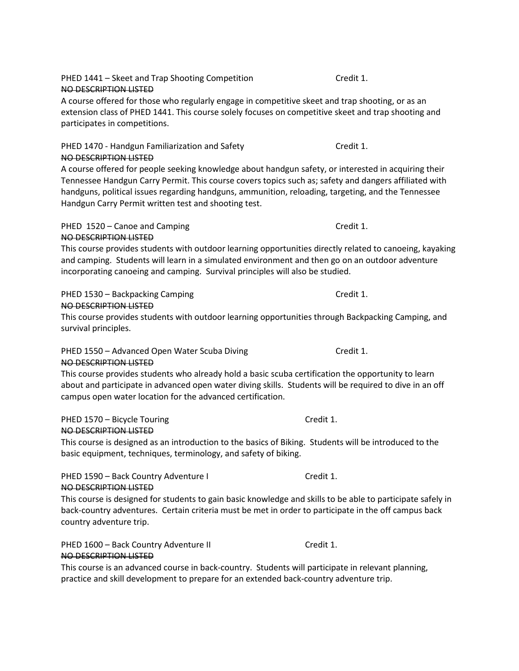A course offered for those who regularly engage in competitive skeet and trap shooting, or as an extension class of PHED 1441. This course solely focuses on competitive skeet and trap shooting and participates in competitions.

NO DESCRIPTION LISTED A course offered for people seeking knowledge about handgun safety, or interested in acquiring their Tennessee Handgun Carry Permit. This course covers topics such as; safety and dangers affiliated with handguns, political issues regarding handguns, ammunition, reloading, targeting, and the Tennessee Handgun Carry Permit written test and shooting test.

PHED 1470 - Handgun Familiarization and Safety Credit 1.

# PHED 1520 – Canoe and Camping Credit 1.

# NO DESCRIPTION LISTED

NO DESCRIPTION LISTED

This course provides students with outdoor learning opportunities directly related to canoeing, kayaking and camping. Students will learn in a simulated environment and then go on an outdoor adventure incorporating canoeing and camping. Survival principles will also be studied.

# PHED 1530 – Backpacking Camping Credit 1.

# NO DESCRIPTION LISTED

This course provides students with outdoor learning opportunities through Backpacking Camping, and survival principles.

# PHED 1550 – Advanced Open Water Scuba Diving The Credit 1.

# NO DESCRIPTION LISTED

This course provides students who already hold a basic scuba certification the opportunity to learn about and participate in advanced open water diving skills. Students will be required to dive in an off campus open water location for the advanced certification.

PHED 1570 – Bicycle Touring Credit 1.

# NO DESCRIPTION LISTED

This course is designed as an introduction to the basics of Biking. Students will be introduced to the basic equipment, techniques, terminology, and safety of biking.

## PHED 1590 – Back Country Adventure I Credit 1. NO DESCRIPTION LISTED

This course is designed for students to gain basic knowledge and skills to be able to participate safely in back-country adventures. Certain criteria must be met in order to participate in the off campus back country adventure trip.

PHED 1600 – Back Country Adventure II Credit 1. NO DESCRIPTION LISTED

This course is an advanced course in back-country. Students will participate in relevant planning, practice and skill development to prepare for an extended back-country adventure trip.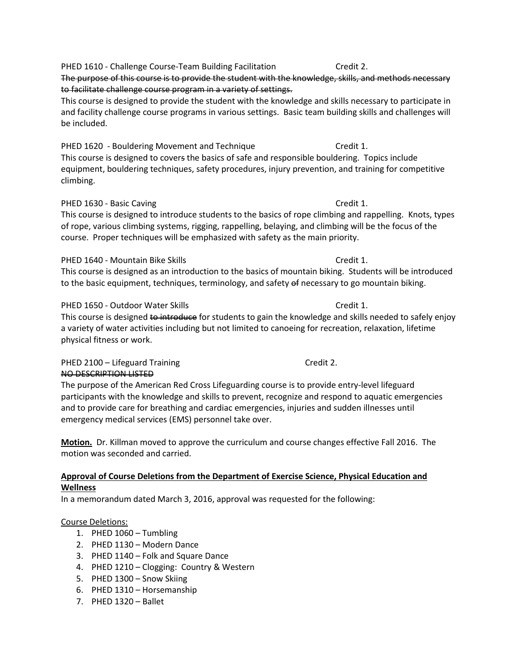PHED 1610 - Challenge Course-Team Building Facilitation Credit 2.

The purpose of this course is to provide the student with the knowledge, skills, and methods necessary to facilitate challenge course program in a variety of settings.

This course is designed to provide the student with the knowledge and skills necessary to participate in and facility challenge course programs in various settings. Basic team building skills and challenges will be included.

PHED 1620 - Bouldering Movement and Technique Credit 1. This course is designed to covers the basics of safe and responsible bouldering. Topics include equipment, bouldering techniques, safety procedures, injury prevention, and training for competitive climbing.

# PHED 1630 - Basic Caving Credit 1.

This course is designed to introduce students to the basics of rope climbing and rappelling. Knots, types of rope, various climbing systems, rigging, rappelling, belaying, and climbing will be the focus of the course. Proper techniques will be emphasized with safety as the main priority.

# PHED 1640 - Mountain Bike Skills Credit 1.

This course is designed as an introduction to the basics of mountain biking. Students will be introduced to the basic equipment, techniques, terminology, and safety of necessary to go mountain biking.

# PHED 1650 - Outdoor Water Skills Credit 1.

This course is designed to introduce for students to gain the knowledge and skills needed to safely enjoy a variety of water activities including but not limited to canoeing for recreation, relaxation, lifetime physical fitness or work.

# PHED 2100 – Lifeguard Training Credit 2. NO DESCRIPTION LISTED

The purpose of the American Red Cross Lifeguarding course is to provide entry-level lifeguard participants with the knowledge and skills to prevent, recognize and respond to aquatic emergencies and to provide care for breathing and cardiac emergencies, injuries and sudden illnesses until emergency medical services (EMS) personnel take over.

**Motion.** Dr. Killman moved to approve the curriculum and course changes effective Fall 2016. The motion was seconded and carried.

# **Approval of Course Deletions from the Department of Exercise Science, Physical Education and Wellness**

In a memorandum dated March 3, 2016, approval was requested for the following:

# Course Deletions:

- 1. PHED 1060 Tumbling
- 2. PHED 1130 Modern Dance
- 3. PHED 1140 Folk and Square Dance
- 4. PHED 1210 Clogging: Country & Western
- 5. PHED 1300 Snow Skiing
- 6. PHED 1310 Horsemanship
- 7. PHED 1320 Ballet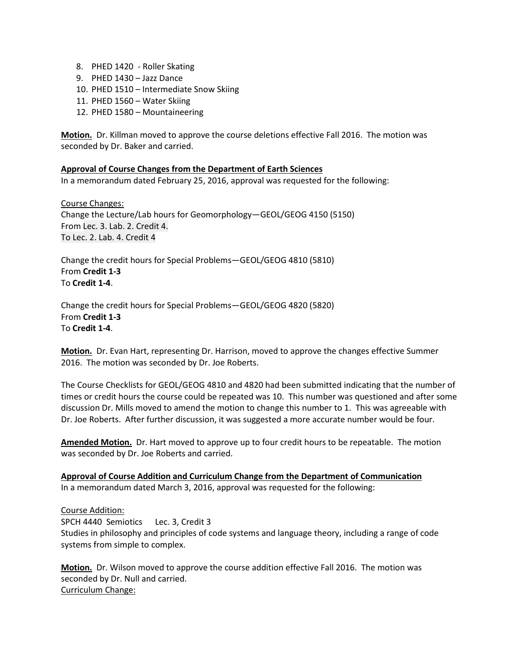- 8. PHED 1420 Roller Skating
- 9. PHED 1430 Jazz Dance
- 10. PHED 1510 Intermediate Snow Skiing
- 11. PHED 1560 Water Skiing
- 12. PHED 1580 Mountaineering

**Motion.** Dr. Killman moved to approve the course deletions effective Fall 2016. The motion was seconded by Dr. Baker and carried.

# **Approval of Course Changes from the Department of Earth Sciences**

In a memorandum dated February 25, 2016, approval was requested for the following:

Course Changes: Change the Lecture/Lab hours for Geomorphology—GEOL/GEOG 4150 (5150) From Lec. 3. Lab. 2. Credit 4. To Lec. 2. Lab. 4. Credit 4

Change the credit hours for Special Problems—GEOL/GEOG 4810 (5810) From **Credit 1-3** To **Credit 1-4**.

Change the credit hours for Special Problems—GEOL/GEOG 4820 (5820) From **Credit 1-3** To **Credit 1-4**.

**Motion.** Dr. Evan Hart, representing Dr. Harrison, moved to approve the changes effective Summer 2016. The motion was seconded by Dr. Joe Roberts.

The Course Checklists for GEOL/GEOG 4810 and 4820 had been submitted indicating that the number of times or credit hours the course could be repeated was 10. This number was questioned and after some discussion Dr. Mills moved to amend the motion to change this number to 1. This was agreeable with Dr. Joe Roberts. After further discussion, it was suggested a more accurate number would be four.

**Amended Motion.** Dr. Hart moved to approve up to four credit hours to be repeatable. The motion was seconded by Dr. Joe Roberts and carried.

**Approval of Course Addition and Curriculum Change from the Department of Communication** In a memorandum dated March 3, 2016, approval was requested for the following:

Course Addition:

SPCH 4440 Semiotics Lec. 3, Credit 3 Studies in philosophy and principles of code systems and language theory, including a range of code systems from simple to complex.

**Motion.** Dr. Wilson moved to approve the course addition effective Fall 2016. The motion was seconded by Dr. Null and carried. Curriculum Change: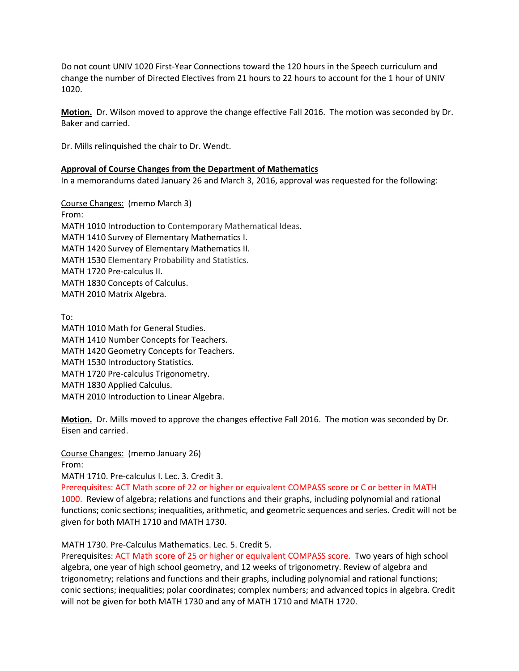Do not count UNIV 1020 First-Year Connections toward the 120 hours in the Speech curriculum and change the number of Directed Electives from 21 hours to 22 hours to account for the 1 hour of UNIV 1020.

**Motion.** Dr. Wilson moved to approve the change effective Fall 2016. The motion was seconded by Dr. Baker and carried.

Dr. Mills relinquished the chair to Dr. Wendt.

## **Approval of Course Changes from the Department of Mathematics**

In a memorandums dated January 26 and March 3, 2016, approval was requested for the following:

Course Changes: (memo March 3) From: MATH 1010 Introduction to Contemporary Mathematical Ideas. MATH 1410 Survey of Elementary Mathematics I. MATH 1420 Survey of Elementary Mathematics II. MATH 1530 Elementary Probability and Statistics. MATH 1720 Pre-calculus II. MATH 1830 Concepts of Calculus. MATH 2010 Matrix Algebra.

To:

MATH 1010 Math for General Studies. MATH 1410 Number Concepts for Teachers. MATH 1420 Geometry Concepts for Teachers. MATH 1530 Introductory Statistics. MATH 1720 Pre-calculus Trigonometry. MATH 1830 Applied Calculus. MATH 2010 Introduction to Linear Algebra.

**Motion.** Dr. Mills moved to approve the changes effective Fall 2016. The motion was seconded by Dr. Eisen and carried.

Course Changes: (memo January 26) From:

MATH 1710. Pre-calculus I. Lec. 3. Credit 3.

Prerequisites: ACT Math score of 22 or higher or equivalent COMPASS score or C or better in MATH 1000. Review of algebra; relations and functions and their graphs, including polynomial and rational functions; conic sections; inequalities, arithmetic, and geometric sequences and series. Credit will not be given for both MATH 1710 and MATH 1730.

## MATH 1730. Pre-Calculus Mathematics. Lec. 5. Credit 5.

Prerequisites: ACT Math score of 25 or higher or equivalent COMPASS score. Two years of high school algebra, one year of high school geometry, and 12 weeks of trigonometry. Review of algebra and trigonometry; relations and functions and their graphs, including polynomial and rational functions; conic sections; inequalities; polar coordinates; complex numbers; and advanced topics in algebra. Credit will not be given for both MATH 1730 and any of MATH 1710 and MATH 1720.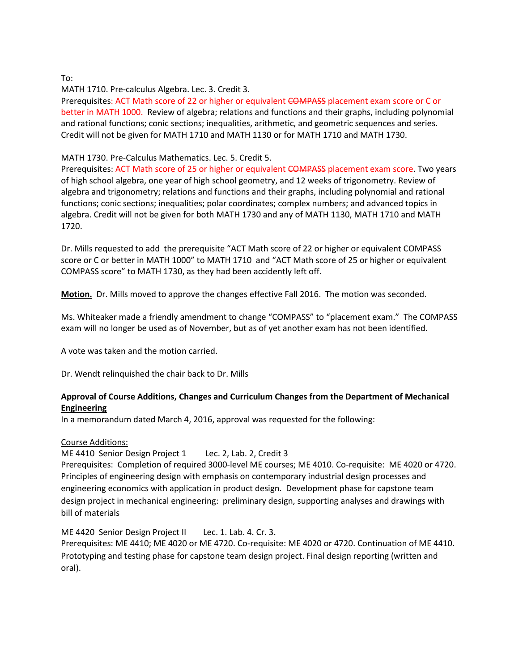## To:

MATH 1710. Pre-calculus Algebra. Lec. 3. Credit 3.

Prerequisites: ACT Math score of 22 or higher or equivalent COMPASS placement exam score or C or better in MATH 1000. Review of algebra; relations and functions and their graphs, including polynomial and rational functions; conic sections; inequalities, arithmetic, and geometric sequences and series. Credit will not be given for MATH 1710 and MATH 1130 or for MATH 1710 and MATH 1730.

MATH 1730. Pre-Calculus Mathematics. Lec. 5. Credit 5.

Prerequisites: ACT Math score of 25 or higher or equivalent COMPASS placement exam score. Two years of high school algebra, one year of high school geometry, and 12 weeks of trigonometry. Review of algebra and trigonometry; relations and functions and their graphs, including polynomial and rational functions; conic sections; inequalities; polar coordinates; complex numbers; and advanced topics in algebra. Credit will not be given for both MATH 1730 and any of MATH 1130, MATH 1710 and MATH 1720.

Dr. Mills requested to add the prerequisite "ACT Math score of 22 or higher or equivalent COMPASS score or C or better in MATH 1000" to MATH 1710 and "ACT Math score of 25 or higher or equivalent COMPASS score" to MATH 1730, as they had been accidently left off.

**Motion.** Dr. Mills moved to approve the changes effective Fall 2016. The motion was seconded.

Ms. Whiteaker made a friendly amendment to change "COMPASS" to "placement exam." The COMPASS exam will no longer be used as of November, but as of yet another exam has not been identified.

A vote was taken and the motion carried.

Dr. Wendt relinquished the chair back to Dr. Mills

# **Approval of Course Additions, Changes and Curriculum Changes from the Department of Mechanical Engineering**

In a memorandum dated March 4, 2016, approval was requested for the following:

## Course Additions:

ME 4410 Senior Design Project 1 Lec. 2, Lab. 2, Credit 3 Prerequisites: Completion of required 3000-level ME courses; ME 4010. Co-requisite: ME 4020 or 4720. Principles of engineering design with emphasis on contemporary industrial design processes and engineering economics with application in product design. Development phase for capstone team design project in mechanical engineering: preliminary design, supporting analyses and drawings with bill of materials

ME 4420 Senior Design Project II Lec. 1. Lab. 4. Cr. 3.

Prerequisites: ME 4410; ME 4020 or ME 4720. Co-requisite: ME 4020 or 4720. Continuation of ME 4410. Prototyping and testing phase for capstone team design project. Final design reporting (written and oral).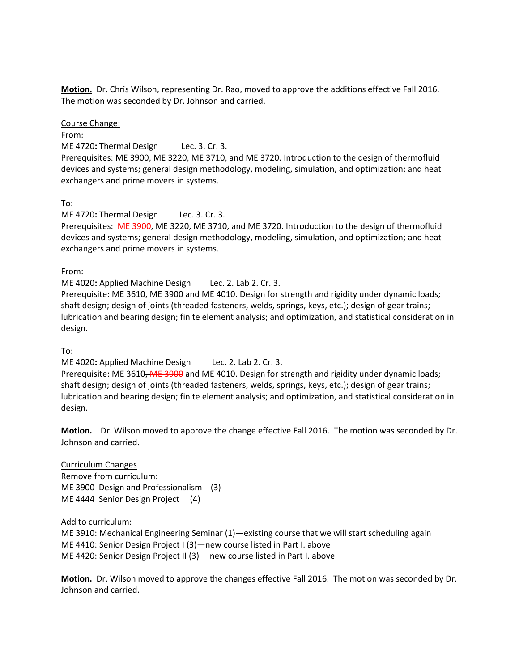**Motion.** Dr. Chris Wilson, representing Dr. Rao, moved to approve the additions effective Fall 2016. The motion was seconded by Dr. Johnson and carried.

Course Change:

From:

ME 4720**:** Thermal Design Lec. 3. Cr. 3.

Prerequisites: ME 3900, ME 3220, ME 3710, and ME 3720. Introduction to the design of thermofluid devices and systems; general design methodology, modeling, simulation, and optimization; and heat exchangers and prime movers in systems.

To:

ME 4720**:** Thermal Design Lec. 3. Cr. 3.

Prerequisites: ME 3900, ME 3220, ME 3710, and ME 3720. Introduction to the design of thermofluid devices and systems; general design methodology, modeling, simulation, and optimization; and heat exchangers and prime movers in systems.

From:

ME 4020**:** Applied Machine Design Lec. 2. Lab 2. Cr. 3.

Prerequisite: ME 3610, ME 3900 and ME 4010. Design for strength and rigidity under dynamic loads; shaft design; design of joints (threaded fasteners, welds, springs, keys, etc.); design of gear trains; lubrication and bearing design; finite element analysis; and optimization, and statistical consideration in design.

To:

ME 4020**:** Applied Machine Design Lec. 2. Lab 2. Cr. 3.

Prerequisite: ME 3610, ME 3900 and ME 4010. Design for strength and rigidity under dynamic loads; shaft design; design of joints (threaded fasteners, welds, springs, keys, etc.); design of gear trains; lubrication and bearing design; finite element analysis; and optimization, and statistical consideration in design.

**Motion.** Dr. Wilson moved to approve the change effective Fall 2016. The motion was seconded by Dr. Johnson and carried.

Curriculum Changes Remove from curriculum: ME 3900 Design and Professionalism (3) ME 4444 Senior Design Project (4)

Add to curriculum:

ME 3910: Mechanical Engineering Seminar (1)—existing course that we will start scheduling again ME 4410: Senior Design Project I (3)—new course listed in Part I. above ME 4420: Senior Design Project II (3)— new course listed in Part I. above

**Motion.** Dr. Wilson moved to approve the changes effective Fall 2016. The motion was seconded by Dr. Johnson and carried.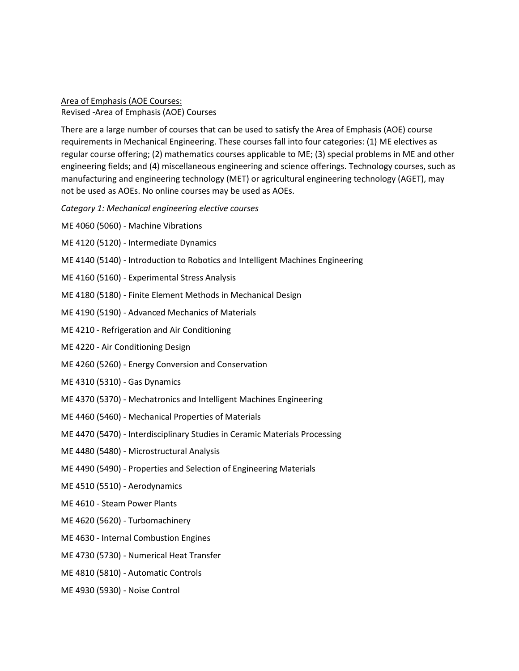Area of Emphasis (AOE Courses: Revised -Area of Emphasis (AOE) Courses

There are a large number of courses that can be used to satisfy the Area of Emphasis (AOE) course requirements in Mechanical Engineering. These courses fall into four categories: (1) ME electives as regular course offering; (2) mathematics courses applicable to ME; (3) special problems in ME and other engineering fields; and (4) miscellaneous engineering and science offerings. Technology courses, such as manufacturing and engineering technology (MET) or agricultural engineering technology (AGET), may not be used as AOEs. No online courses may be used as AOEs.

*Category 1: Mechanical engineering elective courses*

ME 4060 (5060) - Machine Vibrations

- ME 4120 (5120) Intermediate Dynamics
- ME 4140 (5140) Introduction to Robotics and Intelligent Machines Engineering
- ME 4160 (5160) Experimental Stress Analysis
- ME 4180 (5180) Finite Element Methods in Mechanical Design
- ME 4190 (5190) Advanced Mechanics of Materials
- ME 4210 Refrigeration and Air Conditioning
- ME 4220 Air Conditioning Design
- ME 4260 (5260) Energy Conversion and Conservation
- ME 4310 (5310) Gas Dynamics
- ME 4370 (5370) Mechatronics and Intelligent Machines Engineering
- ME 4460 (5460) Mechanical Properties of Materials
- ME 4470 (5470) Interdisciplinary Studies in Ceramic Materials Processing
- ME 4480 (5480) Microstructural Analysis
- ME 4490 (5490) Properties and Selection of Engineering Materials
- ME 4510 (5510) Aerodynamics
- ME 4610 Steam Power Plants
- ME 4620 (5620) Turbomachinery
- ME 4630 Internal Combustion Engines
- ME 4730 (5730) Numerical Heat Transfer
- ME 4810 (5810) Automatic Controls
- ME 4930 (5930) Noise Control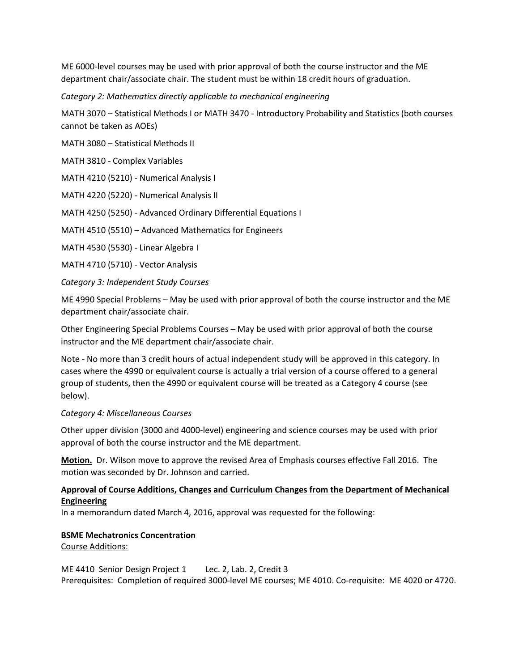ME 6000-level courses may be used with prior approval of both the course instructor and the ME department chair/associate chair. The student must be within 18 credit hours of graduation.

*Category 2: Mathematics directly applicable to mechanical engineering*

MATH 3070 – Statistical Methods I or MATH 3470 - Introductory Probability and Statistics (both courses cannot be taken as AOEs)

MATH 3080 – Statistical Methods II

MATH 3810 - Complex Variables

MATH 4210 (5210) - Numerical Analysis I

MATH 4220 (5220) - Numerical Analysis II

MATH 4250 (5250) - Advanced Ordinary Differential Equations I

MATH 4510 (5510) – Advanced Mathematics for Engineers

MATH 4530 (5530) - Linear Algebra I

MATH 4710 (5710) - Vector Analysis

*Category 3: Independent Study Courses*

ME 4990 Special Problems – May be used with prior approval of both the course instructor and the ME department chair/associate chair.

Other Engineering Special Problems Courses – May be used with prior approval of both the course instructor and the ME department chair/associate chair.

Note - No more than 3 credit hours of actual independent study will be approved in this category. In cases where the 4990 or equivalent course is actually a trial version of a course offered to a general group of students, then the 4990 or equivalent course will be treated as a Category 4 course (see below).

#### *Category 4: Miscellaneous Courses*

Other upper division (3000 and 4000-level) engineering and science courses may be used with prior approval of both the course instructor and the ME department.

**Motion.** Dr. Wilson move to approve the revised Area of Emphasis courses effective Fall 2016. The motion was seconded by Dr. Johnson and carried.

## **Approval of Course Additions, Changes and Curriculum Changes from the Department of Mechanical Engineering**

In a memorandum dated March 4, 2016, approval was requested for the following:

#### **BSME Mechatronics Concentration**

Course Additions:

#### ME 4410 Senior Design Project 1 Lec. 2, Lab. 2, Credit 3

Prerequisites: Completion of required 3000-level ME courses; ME 4010. Co-requisite: ME 4020 or 4720.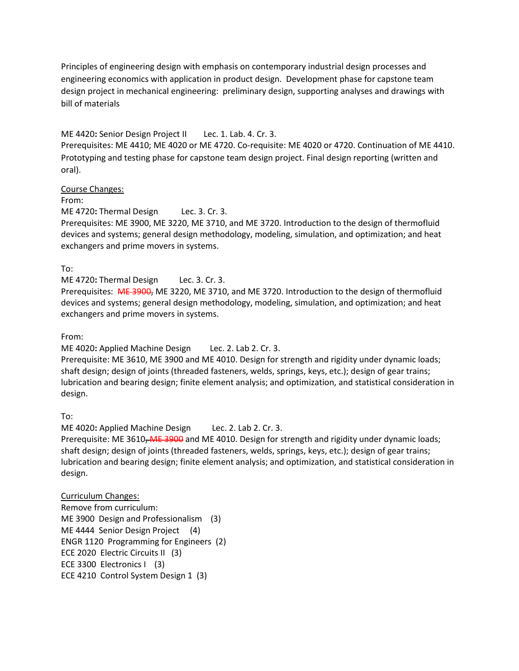Principles of engineering design with emphasis on contemporary industrial design processes and engineering economics with application in product design. Development phase for capstone team design project in mechanical engineering: preliminary design, supporting analyses and drawings with bill of materials

# ME 4420**:** Senior Design Project II Lec. 1. Lab. 4. Cr. 3.

Prerequisites: ME 4410; ME 4020 or ME 4720. Co-requisite: ME 4020 or 4720. Continuation of ME 4410. Prototyping and testing phase for capstone team design project. Final design reporting (written and oral).

Course Changes:

From:

ME 4720**:** Thermal Design Lec. 3. Cr. 3.

Prerequisites: ME 3900, ME 3220, ME 3710, and ME 3720. Introduction to the design of thermofluid devices and systems; general design methodology, modeling, simulation, and optimization; and heat exchangers and prime movers in systems.

To:

ME 4720**:** Thermal Design Lec. 3. Cr. 3.

Prerequisites: ME 3900, ME 3220, ME 3710, and ME 3720. Introduction to the design of thermofluid devices and systems; general design methodology, modeling, simulation, and optimization; and heat exchangers and prime movers in systems.

From:

ME 4020**:** Applied Machine Design Lec. 2. Lab 2. Cr. 3.

Prerequisite: ME 3610, ME 3900 and ME 4010. Design for strength and rigidity under dynamic loads; shaft design; design of joints (threaded fasteners, welds, springs, keys, etc.); design of gear trains; lubrication and bearing design; finite element analysis; and optimization, and statistical consideration in design.

To:

ME 4020**:** Applied Machine Design Lec. 2. Lab 2. Cr. 3. Prerequisite: ME 3610, ME 3900 and ME 4010. Design for strength and rigidity under dynamic loads; shaft design; design of joints (threaded fasteners, welds, springs, keys, etc.); design of gear trains; lubrication and bearing design; finite element analysis; and optimization, and statistical consideration in design.

## Curriculum Changes:

Remove from curriculum: ME 3900 Design and Professionalism (3) ME 4444 Senior Design Project (4) ENGR 1120 Programming for Engineers (2) ECE 2020 Electric Circuits II (3) ECE 3300 Electronics I (3) ECE 4210 Control System Design 1 (3)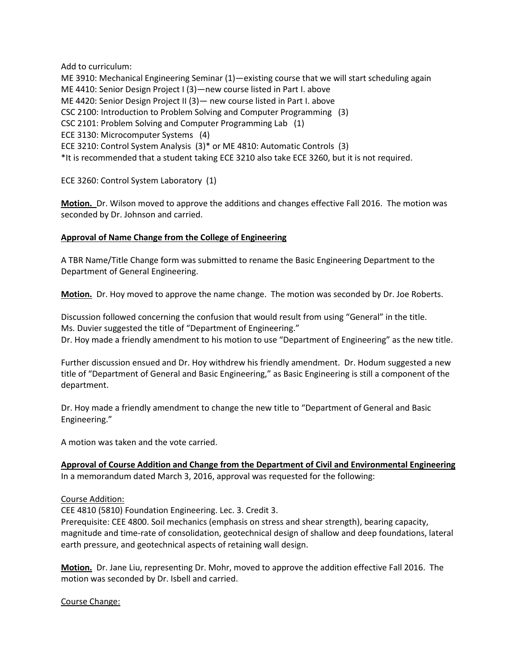Add to curriculum:

ME 3910: Mechanical Engineering Seminar (1)—existing course that we will start scheduling again ME 4410: Senior Design Project I (3)—new course listed in Part I. above ME 4420: Senior Design Project II (3)— new course listed in Part I. above CSC 2100: Introduction to Problem Solving and Computer Programming (3) CSC 2101: Problem Solving and Computer Programming Lab (1) ECE 3130: Microcomputer Systems (4) ECE 3210: Control System Analysis (3)\* or ME 4810: Automatic Controls (3) \*It is recommended that a student taking ECE 3210 also take ECE 3260, but it is not required.

ECE 3260: Control System Laboratory (1)

**Motion.** Dr. Wilson moved to approve the additions and changes effective Fall 2016. The motion was seconded by Dr. Johnson and carried.

# **Approval of Name Change from the College of Engineering**

A TBR Name/Title Change form was submitted to rename the Basic Engineering Department to the Department of General Engineering.

**Motion.** Dr. Hoy moved to approve the name change. The motion was seconded by Dr. Joe Roberts.

Discussion followed concerning the confusion that would result from using "General" in the title. Ms. Duvier suggested the title of "Department of Engineering." Dr. Hoy made a friendly amendment to his motion to use "Department of Engineering" as the new title.

Further discussion ensued and Dr. Hoy withdrew his friendly amendment. Dr. Hodum suggested a new title of "Department of General and Basic Engineering," as Basic Engineering is still a component of the department.

Dr. Hoy made a friendly amendment to change the new title to "Department of General and Basic Engineering."

A motion was taken and the vote carried.

**Approval of Course Addition and Change from the Department of Civil and Environmental Engineering** In a memorandum dated March 3, 2016, approval was requested for the following:

## Course Addition:

CEE 4810 (5810) Foundation Engineering. Lec. 3. Credit 3.

Prerequisite: CEE 4800. Soil mechanics (emphasis on stress and shear strength), bearing capacity, magnitude and time-rate of consolidation, geotechnical design of shallow and deep foundations, lateral earth pressure, and geotechnical aspects of retaining wall design.

**Motion.** Dr. Jane Liu, representing Dr. Mohr, moved to approve the addition effective Fall 2016. The motion was seconded by Dr. Isbell and carried.

Course Change: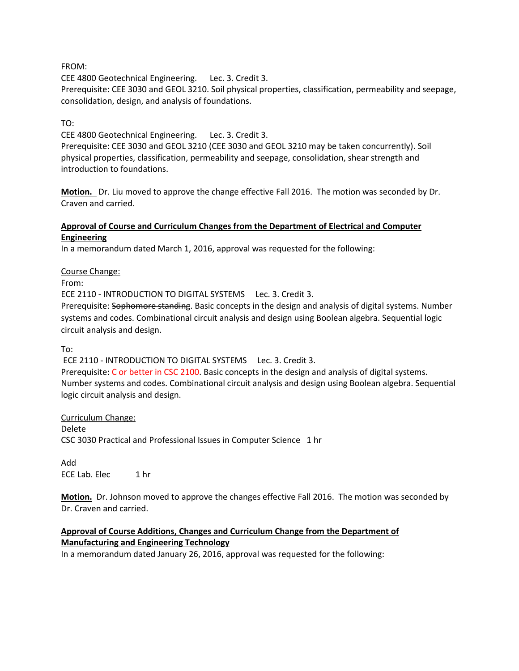## FROM:

CEE 4800 Geotechnical Engineering. Lec. 3. Credit 3.

Prerequisite: CEE 3030 and GEOL 3210. Soil physical properties, classification, permeability and seepage, consolidation, design, and analysis of foundations.

# TO:

CEE 4800 Geotechnical Engineering. Lec. 3. Credit 3.

Prerequisite: CEE 3030 and GEOL 3210 (CEE 3030 and GEOL 3210 may be taken concurrently). Soil physical properties, classification, permeability and seepage, consolidation, shear strength and introduction to foundations.

**Motion.** Dr. Liu moved to approve the change effective Fall 2016. The motion was seconded by Dr. Craven and carried.

## **Approval of Course and Curriculum Changes from the Department of Electrical and Computer Engineering**

In a memorandum dated March 1, 2016, approval was requested for the following:

## Course Change:

From:

ECE 2110 - INTRODUCTION TO DIGITAL SYSTEMS Lec. 3. Credit 3.

Prerequisite: Sophomore standing. Basic concepts in the design and analysis of digital systems. Number systems and codes. Combinational circuit analysis and design using Boolean algebra. Sequential logic circuit analysis and design.

To:

ECE 2110 - INTRODUCTION TO DIGITAL SYSTEMS Lec. 3. Credit 3.

Prerequisite: C or better in CSC 2100. Basic concepts in the design and analysis of digital systems. Number systems and codes. Combinational circuit analysis and design using Boolean algebra. Sequential logic circuit analysis and design.

Curriculum Change: Delete CSC 3030 Practical and Professional Issues in Computer Science 1 hr

Add ECE Lab. Elec 1 hr

**Motion.** Dr. Johnson moved to approve the changes effective Fall 2016. The motion was seconded by Dr. Craven and carried.

# **Approval of Course Additions, Changes and Curriculum Change from the Department of Manufacturing and Engineering Technology**

In a memorandum dated January 26, 2016, approval was requested for the following: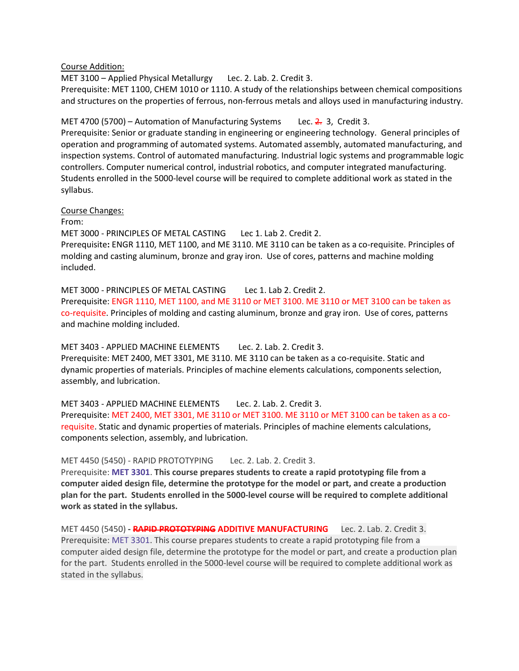Course Addition:

MET 3100 – Applied Physical Metallurgy Lec. 2. Lab. 2. Credit 3. Prerequisite: MET 1100, CHEM 1010 or 1110. A study of the relationships between chemical compositions and structures on the properties of ferrous, non-ferrous metals and alloys used in manufacturing industry.

MET 4700 (5700) – Automation of Manufacturing Systems Lec.  $2.3$ , Credit 3.

Prerequisite: Senior or graduate standing in engineering or engineering technology. General principles of operation and programming of automated systems. Automated assembly, automated manufacturing, and inspection systems. Control of automated manufacturing. Industrial logic systems and programmable logic controllers. Computer numerical control, industrial robotics, and computer integrated manufacturing. Students enrolled in the 5000-level course will be required to complete additional work as stated in the syllabus.

Course Changes:

From:

MET 3000 - PRINCIPLES OF METAL CASTINGLec 1. Lab 2. Credit 2. Prerequisite**:** ENGR 1110, MET 1100, and ME 3110. ME 3110 can be taken as a co-requisite. Principles of molding and casting aluminum, bronze and gray iron. Use of cores, patterns and machine molding included.

MET 3000 - PRINCIPLES OF METAL CASTING Lec 1. Lab 2. Credit 2. Prerequisite: ENGR 1110, MET 1100, and ME 3110 or MET 3100. ME 3110 or MET 3100 can be taken as co-requisite. Principles of molding and casting aluminum, bronze and gray iron. Use of cores, patterns and machine molding included.

MET 3403 - APPLIED MACHINE ELEMENTS Lec. 2. Lab. 2. Credit 3. Prerequisite: MET 2400, MET 3301, ME 3110. ME 3110 can be taken as a co-requisite. Static and dynamic properties of materials. Principles of machine elements calculations, components selection, assembly, and lubrication.

MET 3403 - APPLIED MACHINE ELEMENTSLec. 2. Lab. 2. Credit 3. Prerequisite: MET 2400, MET 3301, ME 3110 or MET 3100. ME 3110 or MET 3100 can be taken as a corequisite. Static and dynamic properties of materials. Principles of machine elements calculations, components selection, assembly, and lubrication.

MET 4450 (5450) - RAPID PROTOTYPING Lec. 2. Lab. 2. Credit 3.

Prerequisite: **MET [3301](http://catalog.tntech.edu/content.php?filter%5B27%5D=MET&filter%5B29%5D=&filter%5Bcourse_type%5D=-1&filter%5Bkeyword%5D=&filter%5B32%5D=1&filter%5Bcpage%5D=1&cur_cat_oid=19&expand=&navoid=3562&search_database=Filter&filter%5Bexact_match%5D=1#tt3894)**. **This course prepares students to create a rapid prototyping file from a computer aided design file, determine the prototype for the model or part, and create a production plan for the part. Students enrolled in the 5000-level course will be required to complete additional work as stated in the syllabus.**

MET 4450 (5450) **- RAPID PROTOTYPING ADDITIVE MANUFACTURING** Lec. 2. Lab. 2. Credit 3. Prerequisite: MET [3301.](http://catalog.tntech.edu/content.php?filter%5B27%5D=MET&filter%5B29%5D=&filter%5Bcourse_type%5D=-1&filter%5Bkeyword%5D=&filter%5B32%5D=1&filter%5Bcpage%5D=1&cur_cat_oid=19&expand=&navoid=3562&search_database=Filter&filter%5Bexact_match%5D=1#tt3894) This course prepares students to create a rapid prototyping file from a computer aided design file, determine the prototype for the model or part, and create a production plan for the part. Students enrolled in the 5000-level course will be required to complete additional work as stated in the syllabus.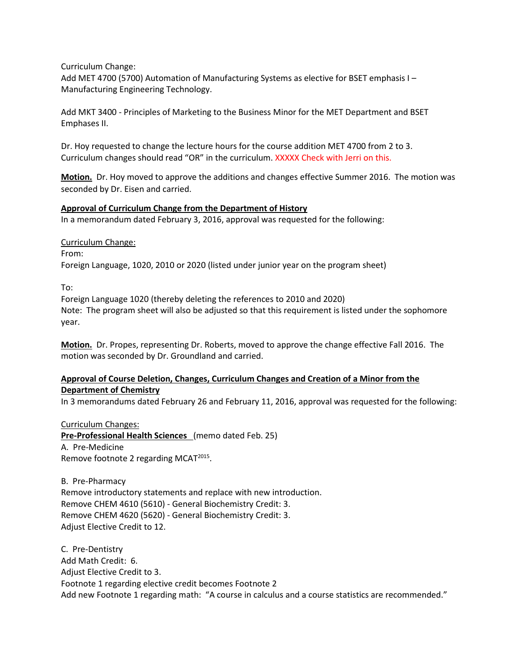Curriculum Change:

Add MET 4700 (5700) Automation of Manufacturing Systems as elective for BSET emphasis I – Manufacturing Engineering Technology.

Add MKT 3400 - Principles of Marketing to the Business Minor for the MET Department and BSET Emphases II.

Dr. Hoy requested to change the lecture hours for the course addition MET 4700 from 2 to 3. Curriculum changes should read "OR" in the curriculum. XXXXX Check with Jerri on this.

**Motion.** Dr. Hoy moved to approve the additions and changes effective Summer 2016. The motion was seconded by Dr. Eisen and carried.

# **Approval of Curriculum Change from the Department of History**

In a memorandum dated February 3, 2016, approval was requested for the following:

Curriculum Change:

From: Foreign Language, 1020, 2010 or 2020 (listed under junior year on the program sheet)

To:

Foreign Language 1020 (thereby deleting the references to 2010 and 2020) Note: The program sheet will also be adjusted so that this requirement is listed under the sophomore year.

**Motion.** Dr. Propes, representing Dr. Roberts, moved to approve the change effective Fall 2016. The motion was seconded by Dr. Groundland and carried.

# **Approval of Course Deletion, Changes, Curriculum Changes and Creation of a Minor from the Department of Chemistry**

In 3 memorandums dated February 26 and February 11, 2016, approval was requested for the following:

Curriculum Changes: **Pre-Professional Health Sciences** (memo dated Feb. 25) A. Pre-Medicine Remove footnote 2 regarding MCAT<sup>2015</sup>.

B. Pre-Pharmacy Remove introductory statements and replace with new introduction. Remove CHEM 4610 (5610) - [General Biochemistry](http://catalog.tntech.edu/preview_program.php?catoid=19&poid=2130&returnto=3410) Credit: 3. Remove CHEM 4620 (5620) - [General Biochemistry](http://catalog.tntech.edu/preview_program.php?catoid=19&poid=2130&returnto=3410) Credit: 3. Adjust Elective Credit to 12.

C. Pre-Dentistry Add Math Credit: 6. Adjust Elective Credit to 3. Footnote 1 regarding elective credit becomes Footnote 2 Add new Footnote 1 regarding math: "A course in calculus and a course statistics are recommended."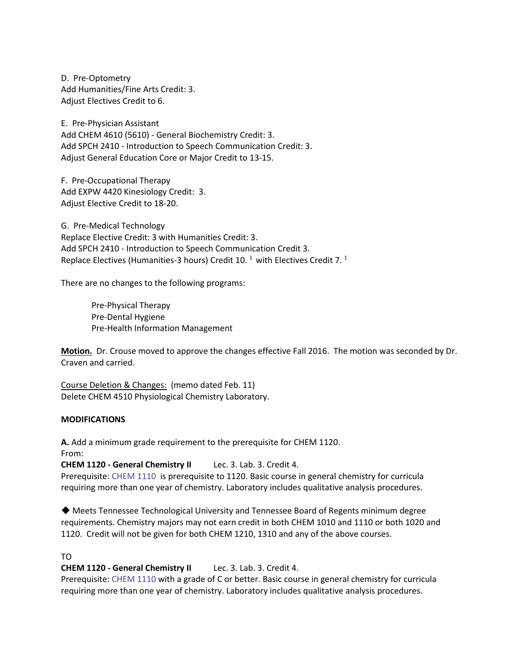D. Pre-Optometry Add Humanities/Fine Arts Credit: 3. Adjust Electives Credit to 6.

E. Pre-Physician Assistant Add CHEM 4610 (5610) - General Biochemistry Credit: 3. Add SPCH 2410 - Introduction to Speech Communication Credit: 3. Adjust General Education Core or Major Credit to 13-15.

F. Pre-Occupational Therapy Add EXPW 4420 Kinesiology Credit: 3. Adjust Elective Credit to 18-20.

G. Pre-Medical Technology Replace Elective Credit: 3 with Humanities Credit: 3. Add SPCH 2410 - [Introduction to Speech Communication](http://catalog.tntech.edu/content.php?navoid=3465&catoid=19#tt5629) Credit 3. Replace Electives (Humanities-3 hours) Credit 10.<sup>1</sup> with Electives Credit 7.<sup>1</sup>

There are no changes to the following programs:

Pre-Physical Therapy Pre-Dental Hygiene Pre-Health Information Management

**Motion.** Dr. Crouse moved to approve the changes effective Fall 2016. The motion was seconded by Dr. Craven and carried.

Course Deletion & Changes: (memo dated Feb. 11) Delete CHEM 4510 Physiological Chemistry Laboratory.

## **MODIFICATIONS**

**A.** Add a minimum grade requirement to the prerequisite for CHEM 1120.

From:

**CHEM 1120 - General Chemistry II** Lec. 3. Lab. 3. Credit 4.

Prerequisite: [CHEM 1110](http://catalog.tntech.edu/content.php?filter%5B27%5D=CHEM&filter%5B29%5D=&filter%5Bcourse_type%5D=-1&filter%5Bkeyword%5D=&filter%5B32%5D=1&filter%5Bcpage%5D=1&cur_cat_oid=19&expand=&navoid=3562&search_database=Filter&filter%5Bexact_match%5D=1#tt2406) is prerequisite to 1120. Basic course in general chemistry for curricula requiring more than one year of chemistry. Laboratory includes qualitative analysis procedures.

◆ Meets Tennessee Technological University and Tennessee Board of Regents minimum degree requirements. Chemistry majors may not earn credit in both CHEM 1010 and 1110 or both 1020 and 1120. Credit will not be given for both CHEM 1210, 1310 and any of the above courses.

## TO

**CHEM 1120 - General Chemistry II** Lec. 3. Lab. 3. Credit 4.

Prerequisite: [CHEM 1110](http://catalog.tntech.edu/content.php?filter%5B27%5D=CHEM&filter%5B29%5D=&filter%5Bcourse_type%5D=-1&filter%5Bkeyword%5D=&filter%5B32%5D=1&filter%5Bcpage%5D=1&cur_cat_oid=19&expand=&navoid=3562&search_database=Filter&filter%5Bexact_match%5D=1#tt2406) with a grade of C or better. Basic course in general chemistry for curricula requiring more than one year of chemistry. Laboratory includes qualitative analysis procedures.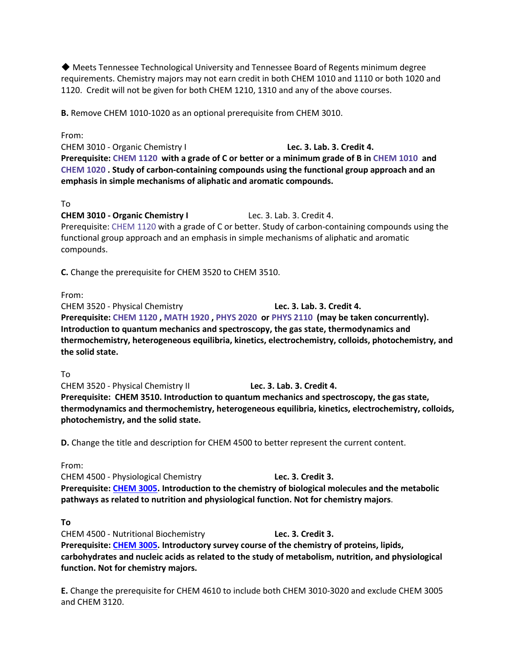◆ Meets Tennessee Technological University and Tennessee Board of Regents minimum degree requirements. Chemistry majors may not earn credit in both CHEM 1010 and 1110 or both 1020 and 1120. Credit will not be given for both CHEM 1210, 1310 and any of the above courses.

**B.** Remove CHEM 1010-1020 as an optional prerequisite from CHEM 3010.

From:

CHEM 3010 - Organic Chemistry I **Lec. 3. Lab. 3. Credit 4. Prerequisite: [CHEM 1120](http://catalog.tntech.edu/content.php?filter%5B27%5D=CHEM&filter%5B29%5D=&filter%5Bcourse_type%5D=-1&filter%5Bkeyword%5D=&filter%5B32%5D=1&filter%5Bcpage%5D=1&cur_cat_oid=19&expand=&navoid=3562&search_database=Filter&filter%5Bexact_match%5D=1#tt3016) with a grade of C or better or a minimum grade of B i[n CHEM 1010](http://catalog.tntech.edu/content.php?filter%5B27%5D=CHEM&filter%5B29%5D=&filter%5Bcourse_type%5D=-1&filter%5Bkeyword%5D=&filter%5B32%5D=1&filter%5Bcpage%5D=1&cur_cat_oid=19&expand=&navoid=3562&search_database=Filter&filter%5Bexact_match%5D=1#tt9756) and [CHEM 1020](http://catalog.tntech.edu/content.php?filter%5B27%5D=CHEM&filter%5B29%5D=&filter%5Bcourse_type%5D=-1&filter%5Bkeyword%5D=&filter%5B32%5D=1&filter%5Bcpage%5D=1&cur_cat_oid=19&expand=&navoid=3562&search_database=Filter&filter%5Bexact_match%5D=1#tt8858) . Study of carbon-containing compounds using the functional group approach and an emphasis in simple mechanisms of aliphatic and aromatic compounds.**

#### To

**CHEM 3010 - Organic Chemistry I** Lec. 3. Lab. 3. Credit 4.

Prerequisite: [CHEM 1120](http://catalog.tntech.edu/content.php?filter%5B27%5D=CHEM&filter%5B29%5D=&filter%5Bcourse_type%5D=-1&filter%5Bkeyword%5D=&filter%5B32%5D=1&filter%5Bcpage%5D=1&cur_cat_oid=19&expand=&navoid=3562&search_database=Filter&filter%5Bexact_match%5D=1#tt3016) with a grade of C or better. Study of carbon-containing compounds using the functional group approach and an emphasis in simple mechanisms of aliphatic and aromatic compounds.

**C.** Change the prerequisite for CHEM 3520 to CHEM 3510.

From:

CHEM 3520 - Physical Chemistry **Lec. 3. Lab. 3. Credit 4. Prerequisite: [CHEM 1120](http://catalog.tntech.edu/content.php?filter%5B27%5D=CHEM&filter%5B29%5D=&filter%5Bcourse_type%5D=-1&filter%5Bkeyword%5D=&filter%5B32%5D=1&filter%5Bcpage%5D=1&cur_cat_oid=19&expand=&navoid=3562&search_database=Filter&filter%5Bexact_match%5D=1#tt3454) [, MATH 1920](http://catalog.tntech.edu/content.php?filter%5B27%5D=CHEM&filter%5B29%5D=&filter%5Bcourse_type%5D=-1&filter%5Bkeyword%5D=&filter%5B32%5D=1&filter%5Bcpage%5D=1&cur_cat_oid=19&expand=&navoid=3562&search_database=Filter&filter%5Bexact_match%5D=1#tt137) , [PHYS 2020](http://catalog.tntech.edu/content.php?filter%5B27%5D=CHEM&filter%5B29%5D=&filter%5Bcourse_type%5D=-1&filter%5Bkeyword%5D=&filter%5B32%5D=1&filter%5Bcpage%5D=1&cur_cat_oid=19&expand=&navoid=3562&search_database=Filter&filter%5Bexact_match%5D=1#tt4543) o[r PHYS 2110](http://catalog.tntech.edu/content.php?filter%5B27%5D=CHEM&filter%5B29%5D=&filter%5Bcourse_type%5D=-1&filter%5Bkeyword%5D=&filter%5B32%5D=1&filter%5Bcpage%5D=1&cur_cat_oid=19&expand=&navoid=3562&search_database=Filter&filter%5Bexact_match%5D=1#tt4232) (may be taken concurrently). Introduction to quantum mechanics and spectroscopy, the gas state, thermodynamics and thermochemistry, heterogeneous equilibria, kinetics, electrochemistry, colloids, photochemistry, and the solid state.**

To

CHEM 3520 - Physical Chemistry II **Lec. 3. Lab. 3. Credit 4. Prerequisite: CHEM 3510. Introduction to quantum mechanics and spectroscopy, the gas state, thermodynamics and thermochemistry, heterogeneous equilibria, kinetics, electrochemistry, colloids, photochemistry, and the solid state.**

**D.** Change the title and description for CHEM 4500 to better represent the current content.

From:

CHEM 4500 - Physiological Chemistry **Lec. 3. Credit 3. Prerequisite: [CHEM 3005.](http://catalog.tntech.edu/content.php?filter%5B27%5D=CHEM&filter%5B29%5D=&filter%5Bcourse_type%5D=-1&filter%5Bkeyword%5D=&filter%5B32%5D=1&filter%5Bcpage%5D=1&cur_cat_oid=19&expand=&navoid=3562&search_database=Filter&filter%5Bexact_match%5D=1) Introduction to the chemistry of biological molecules and the metabolic pathways as related to nutrition and physiological function. Not for chemistry majors**.

## **To**

CHEM 4500 - Nutritional Biochemistry **Lec. 3. Credit 3. Prerequisite: [CHEM 3005.](http://catalog.tntech.edu/content.php?filter%5B27%5D=CHEM&filter%5B29%5D=&filter%5Bcourse_type%5D=-1&filter%5Bkeyword%5D=&filter%5B32%5D=1&filter%5Bcpage%5D=1&cur_cat_oid=19&expand=&navoid=3562&search_database=Filter&filter%5Bexact_match%5D=1) Introductory survey course of the chemistry of proteins, lipids, carbohydrates and nucleic acids as related to the study of metabolism, nutrition, and physiological function. Not for chemistry majors.**

**E.** Change the prerequisite for CHEM 4610 to include both CHEM 3010-3020 and exclude CHEM 3005 and CHEM 3120.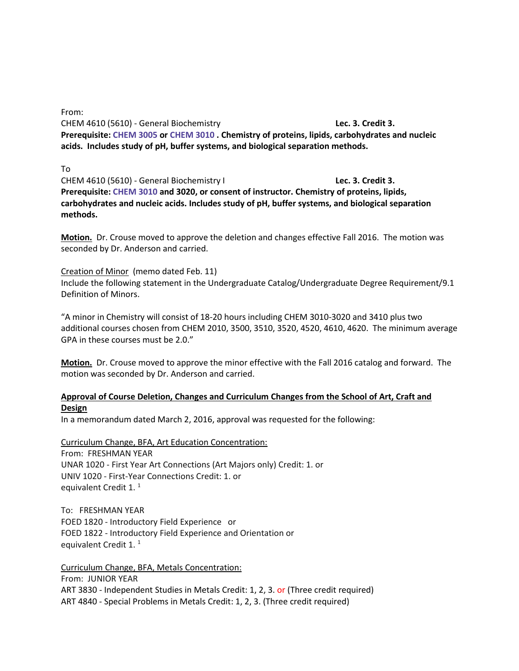From:

CHEM 4610 (5610) - General Biochemistry **Lec. 3. Credit 3. Prerequisite: [CHEM 3005](http://catalog.tntech.edu/content.php?filter%5B27%5D=CHEM&filter%5B29%5D=&filter%5Bcourse_type%5D=-1&filter%5Bkeyword%5D=&filter%5B32%5D=1&filter%5Bcpage%5D=1&cur_cat_oid=19&expand=&navoid=3562&search_database=Filter&filter%5Bexact_match%5D=1#tt8950) o[r CHEM 3010](http://catalog.tntech.edu/content.php?filter%5B27%5D=CHEM&filter%5B29%5D=&filter%5Bcourse_type%5D=-1&filter%5Bkeyword%5D=&filter%5B32%5D=1&filter%5Bcpage%5D=1&cur_cat_oid=19&expand=&navoid=3562&search_database=Filter&filter%5Bexact_match%5D=1#tt8610) . Chemistry of proteins, lipids, carbohydrates and nucleic acids. Includes study of pH, buffer systems, and biological separation methods.**

To

CHEM 4610 (5610) - General Biochemistry I **Lec. 3. Credit 3. Prerequisite: [CHEM 3010](http://catalog.tntech.edu/content.php?filter%5B27%5D=CHEM&filter%5B29%5D=&filter%5Bcourse_type%5D=-1&filter%5Bkeyword%5D=&filter%5B32%5D=1&filter%5Bcpage%5D=1&cur_cat_oid=19&expand=&navoid=3562&search_database=Filter&filter%5Bexact_match%5D=1#tt8610) and 3020, or consent of instructor. Chemistry of proteins, lipids, carbohydrates and nucleic acids. Includes study of pH, buffer systems, and biological separation methods.**

**Motion.** Dr. Crouse moved to approve the deletion and changes effective Fall 2016. The motion was seconded by Dr. Anderson and carried.

Creation of Minor (memo dated Feb. 11) Include the following statement in the Undergraduate Catalog/Undergraduate Degree Requirement/9.1 Definition of Minors.

"A minor in Chemistry will consist of 18-20 hours including CHEM 3010-3020 and 3410 plus two additional courses chosen from CHEM 2010, 3500, 3510, 3520, 4520, 4610, 4620. The minimum average GPA in these courses must be 2.0."

**Motion.** Dr. Crouse moved to approve the minor effective with the Fall 2016 catalog and forward. The motion was seconded by Dr. Anderson and carried.

# **Approval of Course Deletion, Changes and Curriculum Changes from the School of Art, Craft and Design**

In a memorandum dated March 2, 2016, approval was requested for the following:

Curriculum Change, BFA, Art Education Concentration: From: FRESHMAN YEAR UNAR 1020 - First Year Art Connections (Art Majors only) Credit: 1. or UNIV 1020 - First-Year Connections Credit: 1. or equivalent Credit 1.<sup>1</sup>

To: FRESHMAN YEAR FOED 1820 - Introductory Field Experience or FOED 1822 - Introductory Field Experience and Orientation or equivalent Credit 1.<sup>1</sup>

Curriculum Change, BFA, Metals Concentration: From: JUNIOR YEAR ART 3830 - Independent Studies in Metals Credit: 1, 2, 3. or (Three credit required) ART 4840 - Special Problems in Metals Credit: 1, 2, 3. (Three credit required)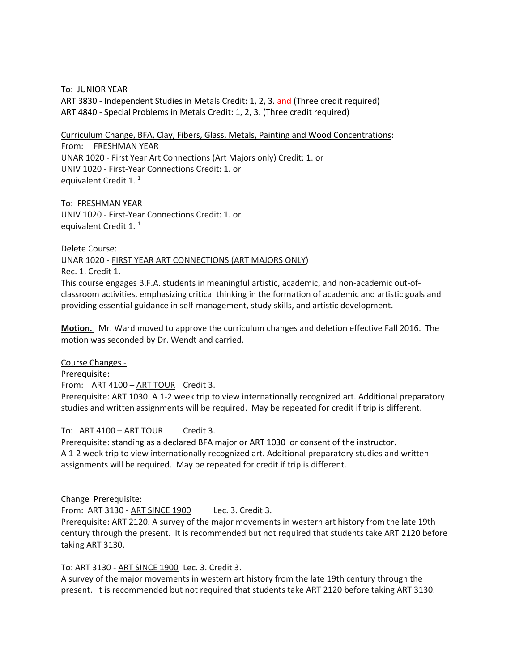To: JUNIOR YEAR ART 3830 - Independent Studies in Metals Credit: 1, 2, 3. and (Three credit required) ART 4840 - Special Problems in Metals Credit: 1, 2, 3. (Three credit required)

Curriculum Change, BFA, Clay, Fibers, Glass, Metals, Painting and Wood Concentrations: From: FRESHMAN YEAR UNAR 1020 - First Year Art Connections (Art Majors only) Credit: 1. or UNIV 1020 - First-Year Connections Credit: 1. or equivalent Credit 1.<sup>1</sup>

To: FRESHMAN YEAR UNIV 1020 - First-Year Connections Credit: 1. or equivalent Credit 1.<sup>1</sup>

Delete Course: UNAR 1020 - FIRST YEAR ART CONNECTIONS (ART MAJORS ONLY) Rec. 1. Credit 1. This course engages B.F.A. students in meaningful artistic, academic, and non-academic out-ofclassroom activities, emphasizing critical thinking in the formation of academic and artistic goals and providing essential guidance in self-management, study skills, and artistic development.

**Motion.** Mr. Ward moved to approve the curriculum changes and deletion effective Fall 2016. The motion was seconded by Dr. Wendt and carried.

Course Changes - Prerequisite: From: ART 4100 – ART TOUR Credit 3. Prerequisite: ART 1030. A 1-2 week trip to view internationally recognized art. Additional preparatory studies and written assignments will be required. May be repeated for credit if trip is different.

#### To: ART 4100 – ART TOUR Credit 3.

Prerequisite: standing as a declared BFA major or ART 1030 or consent of the instructor. A 1-2 week trip to view internationally recognized art. Additional preparatory studies and written assignments will be required. May be repeated for credit if trip is different.

Change Prerequisite:

From: ART 3130 - ART SINCE 1900 Lec. 3. Credit 3.

Prerequisite: ART 2120. A survey of the major movements in western art history from the late 19th century through the present. It is recommended but not required that students take ART 2120 before taking ART 3130.

#### To: ART 3130 - ART SINCE 1900 Lec. 3. Credit 3.

A survey of the major movements in western art history from the late 19th century through the present. It is recommended but not required that students take ART 2120 before taking ART 3130.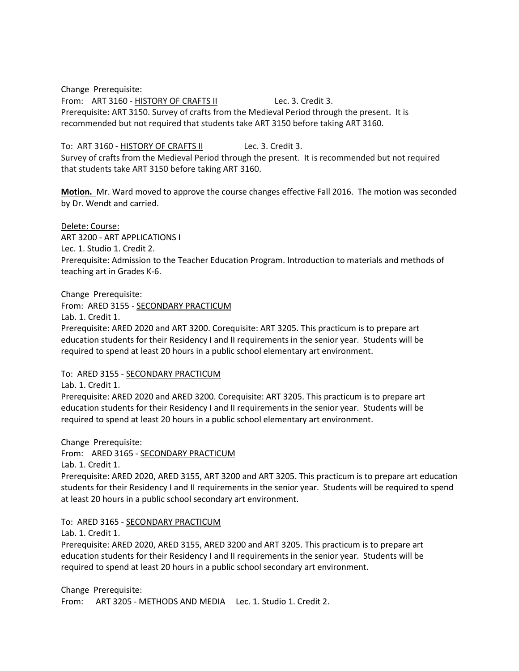Change Prerequisite: From: ART 3160 - HISTORY OF CRAFTS II Lec. 3. Credit 3. Prerequisite: ART 3150. Survey of crafts from the Medieval Period through the present. It is recommended but not required that students take ART 3150 before taking ART 3160.

# To: ART 3160 - HISTORY OF CRAFTS II Lec. 3. Credit 3.

Survey of crafts from the Medieval Period through the present. It is recommended but not required that students take ART 3150 before taking ART 3160.

**Motion.** Mr. Ward moved to approve the course changes effective Fall 2016. The motion was seconded by Dr. Wendt and carried.

Delete: Course: ART 3200 - ART APPLICATIONS I Lec. 1. Studio 1. Credit 2. Prerequisite: Admission to the Teacher Education Program. Introduction to materials and methods of teaching art in Grades K-6.

Change Prerequisite:

From: ARED 3155 - SECONDARY PRACTICUM

Lab. 1. Credit 1.

Prerequisite: ARED 2020 and ART 3200. Corequisite: ART 3205. This practicum is to prepare art education students for their Residency I and II requirements in the senior year. Students will be required to spend at least 20 hours in a public school elementary art environment.

To: ARED 3155 - SECONDARY PRACTICUM

Lab. 1. Credit 1.

Prerequisite: ARED 2020 and ARED 3200. Corequisite: ART 3205. This practicum is to prepare art education students for their Residency I and II requirements in the senior year. Students will be required to spend at least 20 hours in a public school elementary art environment.

Change Prerequisite: From: ARED 3165 - SECONDARY PRACTICUM Lab. 1. Credit 1.

Prerequisite: ARED 2020, ARED 3155, ART 3200 and ART 3205. This practicum is to prepare art education students for their Residency I and II requirements in the senior year. Students will be required to spend at least 20 hours in a public school secondary art environment.

To: ARED 3165 - SECONDARY PRACTICUM

Lab. 1. Credit 1.

Prerequisite: ARED 2020, ARED 3155, ARED 3200 and ART 3205. This practicum is to prepare art education students for their Residency I and II requirements in the senior year. Students will be required to spend at least 20 hours in a public school secondary art environment.

Change Prerequisite: From: ART 3205 - METHODS AND MEDIA Lec. 1. Studio 1. Credit 2.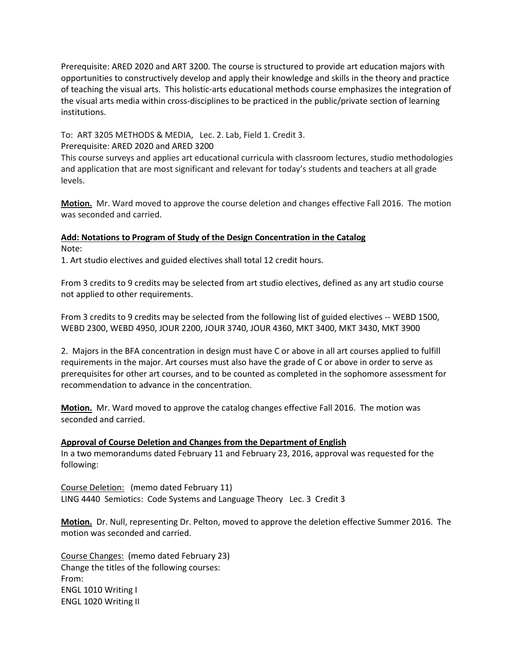Prerequisite: ARED 2020 and ART 3200. The course is structured to provide art education majors with opportunities to constructively develop and apply their knowledge and skills in the theory and practice of teaching the visual arts. This holistic-arts educational methods course emphasizes the integration of the visual arts media within cross-disciplines to be practiced in the public/private section of learning institutions.

To: ART 3205 METHODS & MEDIA, Lec. 2. Lab, Field 1. Credit 3. Prerequisite: ARED 2020 and ARED 3200

This course surveys and applies art educational curricula with classroom lectures, studio methodologies and application that are most significant and relevant for today's students and teachers at all grade levels.

**Motion.** Mr. Ward moved to approve the course deletion and changes effective Fall 2016. The motion was seconded and carried.

# **Add: Notations to Program of Study of the Design Concentration in the Catalog** Note:

1. Art studio electives and guided electives shall total 12 credit hours.

From 3 credits to 9 credits may be selected from art studio electives, defined as any art studio course not applied to other requirements.

From 3 credits to 9 credits may be selected from the following list of guided electives -- WEBD 1500, WEBD 2300, WEBD 4950, JOUR 2200, JOUR 3740, JOUR 4360, MKT 3400, MKT 3430, MKT 3900

2. Majors in the BFA concentration in design must have C or above in all art courses applied to fulfill requirements in the major. Art courses must also have the grade of C or above in order to serve as prerequisites for other art courses, and to be counted as completed in the sophomore assessment for recommendation to advance in the concentration.

**Motion.** Mr. Ward moved to approve the catalog changes effective Fall 2016. The motion was seconded and carried.

## **Approval of Course Deletion and Changes from the Department of English**

In a two memorandums dated February 11 and February 23, 2016, approval was requested for the following:

Course Deletion: (memo dated February 11) LING 4440 Semiotics: Code Systems and Language Theory Lec. 3 Credit 3

**Motion.** Dr. Null, representing Dr. Pelton, moved to approve the deletion effective Summer 2016. The motion was seconded and carried.

Course Changes: (memo dated February 23) Change the titles of the following courses: From: ENGL 1010 Writing I ENGL 1020 Writing II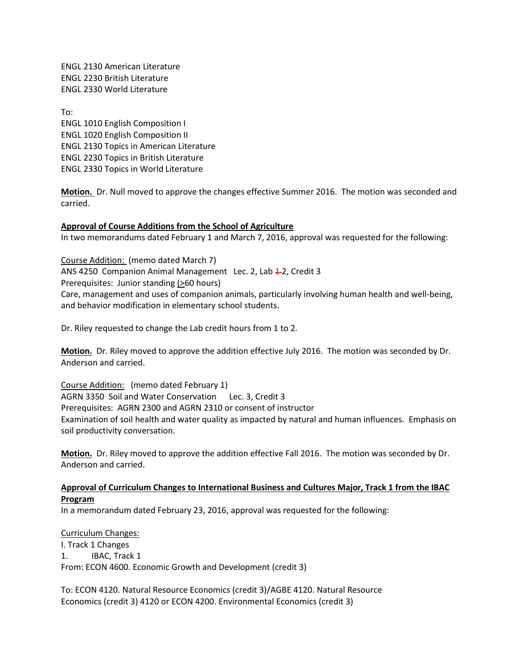ENGL 2130 American Literature ENGL 2230 British Literature ENGL 2330 World Literature

To: ENGL 1010 English Composition I ENGL 1020 English Composition II ENGL 2130 Topics in American Literature ENGL 2230 Topics in British Literature ENGL 2330 Topics in World Literature

**Motion.** Dr. Null moved to approve the changes effective Summer 2016. The motion was seconded and carried.

## **Approval of Course Additions from the School of Agriculture**

In two memorandums dated February 1 and March 7, 2016, approval was requested for the following:

Course Addition: (memo dated March 7) ANS 4250 Companion Animal Management Lec. 2, Lab 4-2, Credit 3 Prerequisites: Junior standing  $($ >60 hours) Care, management and uses of companion animals, particularly involving human health and well-being, and behavior modification in elementary school students.

Dr. Riley requested to change the Lab credit hours from 1 to 2.

**Motion.** Dr. Riley moved to approve the addition effective July 2016. The motion was seconded by Dr. Anderson and carried.

Course Addition: (memo dated February 1) AGRN 3350 Soil and Water Conservation Lec. 3, Credit 3 Prerequisites: AGRN 2300 and AGRN 2310 or consent of instructor Examination of soil health and water quality as impacted by natural and human influences. Emphasis on soil productivity conversation.

**Motion.** Dr. Riley moved to approve the addition effective Fall 2016. The motion was seconded by Dr. Anderson and carried.

## **Approval of Curriculum Changes to International Business and Cultures Major, Track 1 from the IBAC Program**

In a memorandum dated February 23, 2016, approval was requested for the following:

Curriculum Changes: I. Track 1 Changes 1. IBAC, Track 1 From: ECON 4600. Economic Growth and Development (credit 3)

To: ECON 4120. Natural Resource Economics (credit 3)/AGBE 4120. Natural Resource Economics (credit 3) 4120 or ECON 4200. Environmental Economics (credit 3)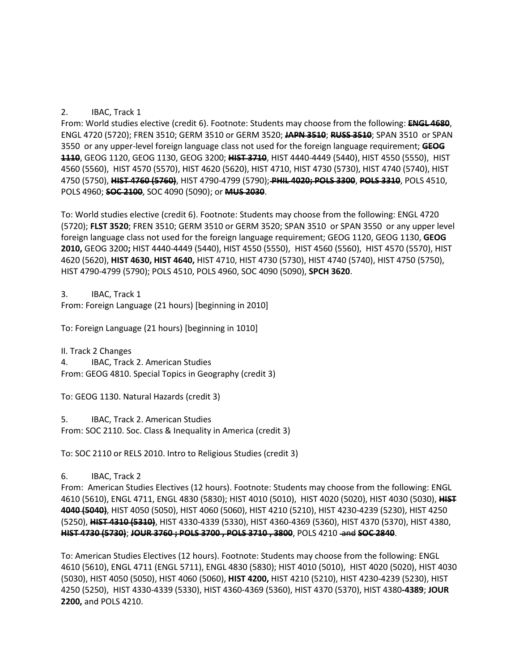# 2. IBAC, Track 1

From: World studies elective (credit 6). Footnote: Students may choose from the following: **ENGL 4680**, [ENGL 4720 \(5720\);](http://catalog.tntech.edu/preview_program.php?catoid=19&poid=2104&hl=%22international+business%22&returnto=search#tt3868) [FREN 3510;](http://catalog.tntech.edu/preview_program.php?catoid=19&poid=2104&hl=%22international+business%22&returnto=search#tt8356) GERM 3510 o[r GERM 3520;](http://catalog.tntech.edu/preview_program.php?catoid=19&poid=2104&hl=%22international+business%22&returnto=search#tt5568) **[JAPN 3510](http://catalog.tntech.edu/preview_program.php?catoid=19&poid=2104&hl=%22international+business%22&returnto=search#tt6921)**; **[RUSS 3510](http://catalog.tntech.edu/preview_program.php?catoid=19&poid=2104&hl=%22international+business%22&returnto=search#tt4855)**; [SPAN 3510](http://catalog.tntech.edu/preview_program.php?catoid=19&poid=2104&hl=%22international+business%22&returnto=search#tt6275) or [SPAN](http://catalog.tntech.edu/preview_program.php?catoid=19&poid=2104&hl=%22international+business%22&returnto=search#tt9718)  [3550](http://catalog.tntech.edu/preview_program.php?catoid=19&poid=2104&hl=%22international+business%22&returnto=search#tt9718) or any upper-level foreign language class not used for the foreign language requirement; **[GEOG](http://catalog.tntech.edu/preview_program.php?catoid=19&poid=2104&hl=%22international+business%22&returnto=search#tt6114)  [1110](http://catalog.tntech.edu/preview_program.php?catoid=19&poid=2104&hl=%22international+business%22&returnto=search#tt6114)**[, GEOG 1120,](http://catalog.tntech.edu/preview_program.php?catoid=19&poid=2104&hl=%22international+business%22&returnto=search#tt7859) [GEOG 1130,](http://catalog.tntech.edu/preview_program.php?catoid=19&poid=2104&hl=%22international+business%22&returnto=search#tt8350) [GEOG 3200;](http://catalog.tntech.edu/preview_program.php?catoid=19&poid=2104&hl=%22international+business%22&returnto=search#tt706) **[HIST 3710](http://catalog.tntech.edu/preview_program.php?catoid=19&poid=2104&hl=%22international+business%22&returnto=search#tt1393)**, [HIST 4440-4449 \(5440\),](http://catalog.tntech.edu/preview_program.php?catoid=19&poid=2104&hl=%22international+business%22&returnto=search#tt147) [HIST 4550 \(5550\),](http://catalog.tntech.edu/preview_program.php?catoid=19&poid=2104&hl=%22international+business%22&returnto=search#tt4306) [HIST](http://catalog.tntech.edu/preview_program.php?catoid=19&poid=2104&hl=%22international+business%22&returnto=search#tt3832)  [4560 \(5560\),](http://catalog.tntech.edu/preview_program.php?catoid=19&poid=2104&hl=%22international+business%22&returnto=search#tt3832) [HIST 4570 \(5570\),](http://catalog.tntech.edu/preview_program.php?catoid=19&poid=2104&hl=%22international+business%22&returnto=search#tt4482) [HIST 4620 \(5620\),](http://catalog.tntech.edu/preview_program.php?catoid=19&poid=2104&hl=%22international+business%22&returnto=search#tt6730) [HIST 4710,](http://catalog.tntech.edu/preview_program.php?catoid=19&poid=2104&hl=%22international+business%22&returnto=search#tt7978) [HIST 4730 \(5730\),](http://catalog.tntech.edu/preview_program.php?catoid=19&poid=2104&hl=%22international+business%22&returnto=search#tt1035) [HIST 4740 \(5740\),](http://catalog.tntech.edu/preview_program.php?catoid=19&poid=2104&hl=%22international+business%22&returnto=search#tt2987) [HIST](http://catalog.tntech.edu/preview_program.php?catoid=19&poid=2104&hl=%22international+business%22&returnto=search#tt723)  [4750 \(5750\),](http://catalog.tntech.edu/preview_program.php?catoid=19&poid=2104&hl=%22international+business%22&returnto=search#tt723) **[HIST 4760 \(5760\)](http://catalog.tntech.edu/preview_program.php?catoid=19&poid=2104&hl=%22international+business%22&returnto=search#tt1021)**, [HIST 4790-4799 \(5790\);](http://catalog.tntech.edu/preview_program.php?catoid=19&poid=2104&hl=%22international+business%22&returnto=search#tt1645) **[PHIL 4020;](http://catalog.tntech.edu/preview_program.php?catoid=19&poid=2104&hl=%22international+business%22&returnto=search#tt8929) [POLS 3300](http://catalog.tntech.edu/preview_program.php?catoid=19&poid=2104&hl=%22international+business%22&returnto=search#tt6965)**, **[POLS 3310](http://catalog.tntech.edu/preview_program.php?catoid=19&poid=2104&hl=%22international+business%22&returnto=search#tt2892)**[, POLS 4510,](http://catalog.tntech.edu/preview_program.php?catoid=19&poid=2104&hl=%22international+business%22&returnto=search#tt2016) [POLS 4960;](http://catalog.tntech.edu/preview_program.php?catoid=19&poid=2104&hl=%22international+business%22&returnto=search#tt2543) **[SOC 2100](http://catalog.tntech.edu/preview_program.php?catoid=19&poid=2104&hl=%22international+business%22&returnto=search#tt8370)**, [SOC 4090 \(5090\);](http://catalog.tntech.edu/preview_program.php?catoid=19&poid=2104&hl=%22international+business%22&returnto=search#tt2380) or **[MUS 2030](http://catalog.tntech.edu/preview_program.php?catoid=19&poid=2104&hl=%22international+business%22&returnto=search#tt8789)**.

To: World studies elective (credit 6). Footnote: Students may choose from the following: [ENGL 4720](http://catalog.tntech.edu/preview_program.php?catoid=19&poid=2104&hl=%22international+business%22&returnto=search#tt3868)  [\(5720\);](http://catalog.tntech.edu/preview_program.php?catoid=19&poid=2104&hl=%22international+business%22&returnto=search#tt3868) **FLST 3520**; [FREN 3510;](http://catalog.tntech.edu/preview_program.php?catoid=19&poid=2104&hl=%22international+business%22&returnto=search#tt8356) GERM 3510 or [GERM 3520;](http://catalog.tntech.edu/preview_program.php?catoid=19&poid=2104&hl=%22international+business%22&returnto=search#tt5568) [SPAN 3510](http://catalog.tntech.edu/preview_program.php?catoid=19&poid=2104&hl=%22international+business%22&returnto=search#tt6275) or [SPAN 3550](http://catalog.tntech.edu/preview_program.php?catoid=19&poid=2104&hl=%22international+business%22&returnto=search#tt9718) or any upper level foreign language class not used for the foreign language requirement[; GEOG 1120,](http://catalog.tntech.edu/preview_program.php?catoid=19&poid=2104&hl=%22international+business%22&returnto=search#tt7859) [GEOG 1130,](http://catalog.tntech.edu/preview_program.php?catoid=19&poid=2104&hl=%22international+business%22&returnto=search#tt8350) **GEOG 2010,** [GEOG 3200](http://catalog.tntech.edu/preview_program.php?catoid=19&poid=2104&hl=%22international+business%22&returnto=search#tt706)**;** [HIST 4440-4449 \(5440\),](http://catalog.tntech.edu/preview_program.php?catoid=19&poid=2104&hl=%22international+business%22&returnto=search#tt147) [HIST 4550 \(5550\),](http://catalog.tntech.edu/preview_program.php?catoid=19&poid=2104&hl=%22international+business%22&returnto=search#tt4306) [HIST 4560 \(5560\),](http://catalog.tntech.edu/preview_program.php?catoid=19&poid=2104&hl=%22international+business%22&returnto=search#tt3832) [HIST 4570 \(5570\),](http://catalog.tntech.edu/preview_program.php?catoid=19&poid=2104&hl=%22international+business%22&returnto=search#tt4482) [HIST](http://catalog.tntech.edu/preview_program.php?catoid=19&poid=2104&hl=%22international+business%22&returnto=search#tt6730)  [4620 \(5620\),](http://catalog.tntech.edu/preview_program.php?catoid=19&poid=2104&hl=%22international+business%22&returnto=search#tt6730) **HIST 4630, HIST 4640,** [HIST 4710,](http://catalog.tntech.edu/preview_program.php?catoid=19&poid=2104&hl=%22international+business%22&returnto=search#tt7978) [HIST 4730 \(5730\),](http://catalog.tntech.edu/preview_program.php?catoid=19&poid=2104&hl=%22international+business%22&returnto=search#tt1035) [HIST 4740 \(5740\),](http://catalog.tntech.edu/preview_program.php?catoid=19&poid=2104&hl=%22international+business%22&returnto=search#tt2987) [HIST 4750 \(5750\),](http://catalog.tntech.edu/preview_program.php?catoid=19&poid=2104&hl=%22international+business%22&returnto=search#tt723) [HIST 4790-4799 \(5790\);](http://catalog.tntech.edu/preview_program.php?catoid=19&poid=2104&hl=%22international+business%22&returnto=search#tt1645) [POLS 4510,](http://catalog.tntech.edu/preview_program.php?catoid=19&poid=2104&hl=%22international+business%22&returnto=search#tt2016) [POLS 4960,](http://catalog.tntech.edu/preview_program.php?catoid=19&poid=2104&hl=%22international+business%22&returnto=search#tt2543) [SOC 4090 \(5090\),](http://catalog.tntech.edu/preview_program.php?catoid=19&poid=2104&hl=%22international+business%22&returnto=search#tt2380) **SPCH 3620**.

3. IBAC, Track 1

From: Foreign Language (21 hours) [beginning in 2010]

To: Foreign Language (21 hours) [beginning in 1010]

II. Track 2 Changes

4. IBAC, Track 2. American Studies From: GEOG 4810. Special Topics in Geography (credit 3)

To: GEOG 1130. Natural Hazards (credit 3)

5. IBAC, Track 2. American Studies From: SOC 2110. Soc. Class & Inequality in America (credit 3)

To: SOC 2110 or RELS 2010. Intro to Religious Studies (credit 3)

6. IBAC, Track 2

From: American Studies Electives (12 hours). Footnote: Students may choose from the following: [ENGL](http://catalog.tntech.edu/preview_program.php?catoid=19&poid=2104&hl=%22international+business%22&returnto=search#tt8295)  [4610 \(5610\),](http://catalog.tntech.edu/preview_program.php?catoid=19&poid=2104&hl=%22international+business%22&returnto=search#tt8295) ENGL 4711, [ENGL 4830 \(5830\);](http://catalog.tntech.edu/preview_program.php?catoid=19&poid=2104&hl=%22international+business%22&returnto=search#tt8109) [HIST 4010 \(5010\),](http://catalog.tntech.edu/preview_program.php?catoid=19&poid=2104&hl=%22international+business%22&returnto=search#tt7816) [HIST 4020 \(5020\),](http://catalog.tntech.edu/preview_program.php?catoid=19&poid=2104&hl=%22international+business%22&returnto=search#tt6663) [HIST 4030 \(5030\),](http://catalog.tntech.edu/preview_program.php?catoid=19&poid=2104&hl=%22international+business%22&returnto=search#tt5796) **HIST 4040 (5040)**, [HIST 4050 \(5050\),](http://catalog.tntech.edu/preview_program.php?catoid=19&poid=2104&hl=%22international+business%22&returnto=search#tt2820) [HIST 4060 \(5060\),](http://catalog.tntech.edu/preview_program.php?catoid=19&poid=2104&hl=%22international+business%22&returnto=search#tt4943) [HIST 4210 \(5210\),](http://catalog.tntech.edu/preview_program.php?catoid=19&poid=2104&hl=%22international+business%22&returnto=search#tt4506) [HIST 4230-4239 \(5230\),](http://catalog.tntech.edu/preview_program.php?catoid=19&poid=2104&hl=%22international+business%22&returnto=search#tt9950) [HIST 4250](http://catalog.tntech.edu/preview_program.php?catoid=19&poid=2104&hl=%22international+business%22&returnto=search#tt1999)  [\(5250\),](http://catalog.tntech.edu/preview_program.php?catoid=19&poid=2104&hl=%22international+business%22&returnto=search#tt1999) **HIST 4310 (5310)**, [HIST 4330-4339 \(5330\),](http://catalog.tntech.edu/preview_program.php?catoid=19&poid=2104&hl=%22international+business%22&returnto=search#tt5663) [HIST 4360-4369 \(5360\),](http://catalog.tntech.edu/preview_program.php?catoid=19&poid=2104&hl=%22international+business%22&returnto=search#tt6302) [HIST 4370 \(5370\),](http://catalog.tntech.edu/preview_program.php?catoid=19&poid=2104&hl=%22international+business%22&returnto=search#tt5619) HIST 4380, **[HIST 4730 \(5730\)](http://catalog.tntech.edu/preview_program.php?catoid=19&poid=2104&hl=%22international+business%22&returnto=search#tt3091)**; **JOUR 3760 [; POLS 3700](http://catalog.tntech.edu/preview_program.php?catoid=19&poid=2104&hl=%22international+business%22&returnto=search#tt3703) , [POLS 3710](http://catalog.tntech.edu/preview_program.php?catoid=19&poid=2104&hl=%22international+business%22&returnto=search#tt6420) , 3800**[, POLS 4210](http://catalog.tntech.edu/preview_program.php?catoid=19&poid=2104&hl=%22international+business%22&returnto=search#tt1209) and **[SOC 2840](http://catalog.tntech.edu/preview_program.php?catoid=19&poid=2104&hl=%22international+business%22&returnto=search#tt2378)**.

To: American Studies Electives (12 hours). Footnote: Students may choose from the following: [ENGL](http://catalog.tntech.edu/preview_program.php?catoid=19&poid=2104&hl=%22international+business%22&returnto=search#tt8295)  [4610 \(5610\),](http://catalog.tntech.edu/preview_program.php?catoid=19&poid=2104&hl=%22international+business%22&returnto=search#tt8295) ENGL 4711 (ENGL 5711), [ENGL 4830 \(5830\);](http://catalog.tntech.edu/preview_program.php?catoid=19&poid=2104&hl=%22international+business%22&returnto=search#tt8109) [HIST 4010 \(5010\),](http://catalog.tntech.edu/preview_program.php?catoid=19&poid=2104&hl=%22international+business%22&returnto=search#tt7816) [HIST 4020 \(5020\),](http://catalog.tntech.edu/preview_program.php?catoid=19&poid=2104&hl=%22international+business%22&returnto=search#tt6663) [HIST 4030](http://catalog.tntech.edu/preview_program.php?catoid=19&poid=2104&hl=%22international+business%22&returnto=search#tt5796)  [\(5030\),](http://catalog.tntech.edu/preview_program.php?catoid=19&poid=2104&hl=%22international+business%22&returnto=search#tt5796) [HIST 4050 \(5050\),](http://catalog.tntech.edu/preview_program.php?catoid=19&poid=2104&hl=%22international+business%22&returnto=search#tt2820) [HIST 4060 \(5060\),](http://catalog.tntech.edu/preview_program.php?catoid=19&poid=2104&hl=%22international+business%22&returnto=search#tt4943) **HIST 4200,** [HIST 4210 \(5210\),](http://catalog.tntech.edu/preview_program.php?catoid=19&poid=2104&hl=%22international+business%22&returnto=search#tt4506) [HIST 4230-4239 \(5230\),](http://catalog.tntech.edu/preview_program.php?catoid=19&poid=2104&hl=%22international+business%22&returnto=search#tt9950) [HIST](http://catalog.tntech.edu/preview_program.php?catoid=19&poid=2104&hl=%22international+business%22&returnto=search#tt1999)  [4250 \(5250\),](http://catalog.tntech.edu/preview_program.php?catoid=19&poid=2104&hl=%22international+business%22&returnto=search#tt1999) [HIST 4330-4339 \(5330\),](http://catalog.tntech.edu/preview_program.php?catoid=19&poid=2104&hl=%22international+business%22&returnto=search#tt5663) [HIST 4360-4369 \(5360\),](http://catalog.tntech.edu/preview_program.php?catoid=19&poid=2104&hl=%22international+business%22&returnto=search#tt6302) [HIST 4370 \(5370\),](http://catalog.tntech.edu/preview_program.php?catoid=19&poid=2104&hl=%22international+business%22&returnto=search#tt5619) HIST 4380**-4389**; **JOUR 2200,** and [POLS 4210.](http://catalog.tntech.edu/preview_program.php?catoid=19&poid=2104&hl=%22international+business%22&returnto=search#tt1209)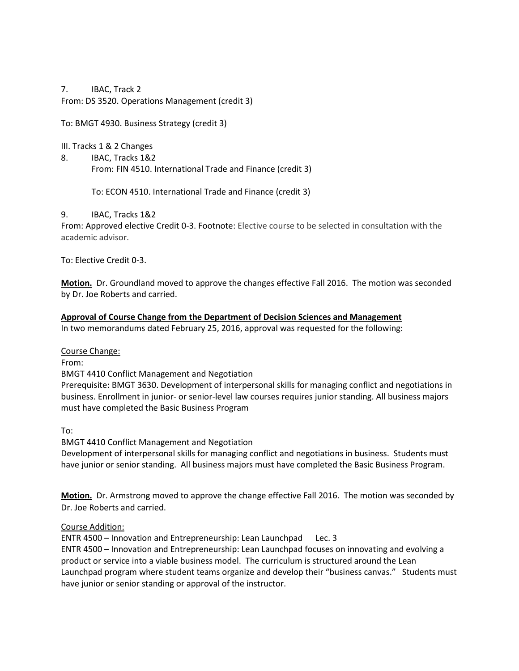7. IBAC, Track 2 From: DS 3520. Operations Management (credit 3)

To: BMGT 4930. Business Strategy (credit 3)

III. Tracks 1 & 2 Changes

8. IBAC, Tracks 1&2 From: FIN 4510. International Trade and Finance (credit 3)

To: ECON 4510. International Trade and Finance (credit 3)

9. IBAC, Tracks 1&2

From: Approved elective Credit 0-3. Footnote: Elective course to be selected in consultation with the academic advisor.

To: Elective Credit 0-3.

**Motion.** Dr. Groundland moved to approve the changes effective Fall 2016. The motion was seconded by Dr. Joe Roberts and carried.

# **Approval of Course Change from the Department of Decision Sciences and Management**

In two memorandums dated February 25, 2016, approval was requested for the following:

Course Change:

From:

BMGT 4410 Conflict Management and Negotiation

Prerequisite: BMGT 3630. Development of interpersonal skills for managing conflict and negotiations in business. Enrollment in junior- or senior-level law courses requires junior standing. All business majors must have completed the Basic Business Program

To:

BMGT 4410 Conflict Management and Negotiation Development of interpersonal skills for managing conflict and negotiations in business. Students must have junior or senior standing. All business majors must have completed the Basic Business Program.

**Motion.** Dr. Armstrong moved to approve the change effective Fall 2016. The motion was seconded by Dr. Joe Roberts and carried.

## Course Addition:

ENTR 4500 – Innovation and Entrepreneurship: Lean Launchpad Lec. 3

ENTR 4500 – Innovation and Entrepreneurship: Lean Launchpad focuses on innovating and evolving a product or service into a viable business model. The curriculum is structured around the Lean Launchpad program where student teams organize and develop their "business canvas." Students must have junior or senior standing or approval of the instructor.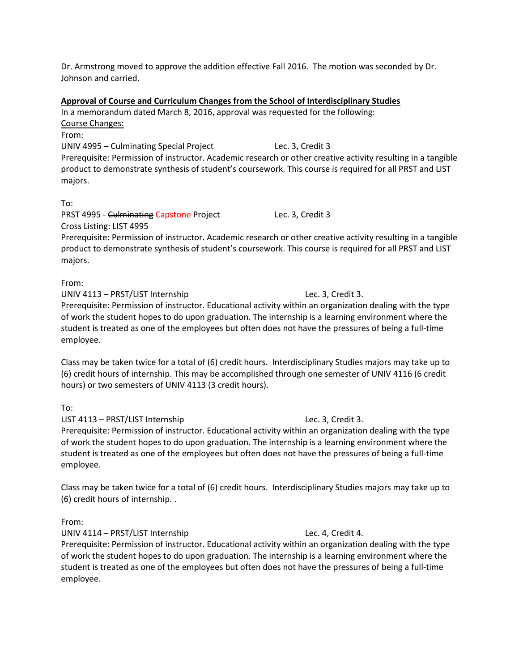Dr. Armstrong moved to approve the addition effective Fall 2016. The motion was seconded by Dr. Johnson and carried.

#### **Approval of Course and Curriculum Changes from the School of Interdisciplinary Studies**

In a memorandum dated March 8, 2016, approval was requested for the following: Course Changes: From:

UNIV 4995 – Culminating Special Project Lec. 3, Credit 3 Prerequisite: Permission of instructor. Academic research or other creative activity resulting in a tangible product to demonstrate synthesis of student's coursework. This course is required for all PRST and LIST majors.

To:

PRST 4995 - Culminating Capstone Project Lec. 3, Credit 3 Cross Listing: LIST 4995

Prerequisite: Permission of instructor. Academic research or other creative activity resulting in a tangible product to demonstrate synthesis of student's coursework. This course is required for all PRST and LIST majors.

From:

UNIV 4113 – PRST/LIST Internship Lec. 3, Credit 3.

Prerequisite: Permission of instructor. Educational activity within an organization dealing with the type of work the student hopes to do upon graduation. The internship is a learning environment where the student is treated as one of the employees but often does not have the pressures of being a full-time employee.

Class may be taken twice for a total of (6) credit hours. Interdisciplinary Studies majors may take up to (6) credit hours of internship. This may be accomplished through one semester of UNIV 4116 (6 credit hours) or two semesters of UNIV 4113 (3 credit hours).

To:

LIST 4113 – PRST/LIST Internship Lec. 3, Credit 3. Prerequisite: Permission of instructor. Educational activity within an organization dealing with the type of work the student hopes to do upon graduation. The internship is a learning environment where the student is treated as one of the employees but often does not have the pressures of being a full-time

Class may be taken twice for a total of (6) credit hours. Interdisciplinary Studies majors may take up to (6) credit hours of internship. .

From:

employee.

UNIV 4114 – PRST/LIST Internship Lec. 4, Credit 4.

Prerequisite: Permission of instructor. Educational activity within an organization dealing with the type of work the student hopes to do upon graduation. The internship is a learning environment where the student is treated as one of the employees but often does not have the pressures of being a full-time employee.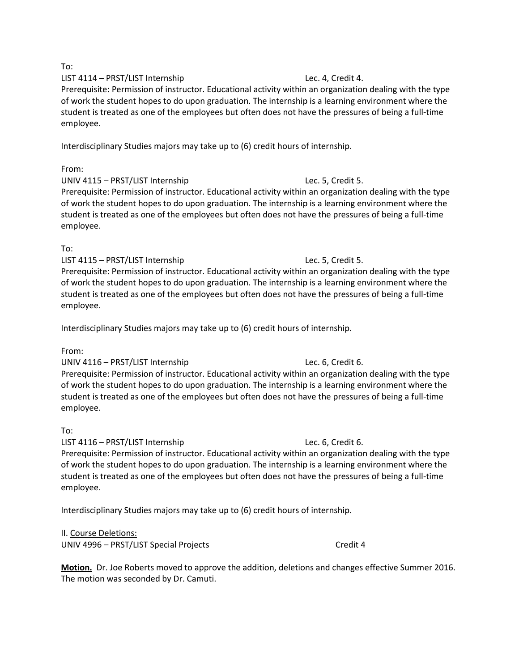#### To:

## LIST 4114 – PRST/LIST Internship Lec. 4, Credit 4.

Prerequisite: Permission of instructor. Educational activity within an organization dealing with the type of work the student hopes to do upon graduation. The internship is a learning environment where the student is treated as one of the employees but often does not have the pressures of being a full-time employee.

Interdisciplinary Studies majors may take up to (6) credit hours of internship.

# From:

UNIV 4115 – PRST/LIST Internship Lec. 5, Credit 5. Prerequisite: Permission of instructor. Educational activity within an organization dealing with the type of work the student hopes to do upon graduation. The internship is a learning environment where the student is treated as one of the employees but often does not have the pressures of being a full-time employee.

# To:

LIST 4115 – PRST/LIST Internship Lec. 5, Credit 5. Prerequisite: Permission of instructor. Educational activity within an organization dealing with the type of work the student hopes to do upon graduation. The internship is a learning environment where the student is treated as one of the employees but often does not have the pressures of being a full-time employee.

Interdisciplinary Studies majors may take up to (6) credit hours of internship.

# From:

## UNIV 4116 – PRST/LIST Internship Lec. 6, Credit 6.

Prerequisite: Permission of instructor. Educational activity within an organization dealing with the type of work the student hopes to do upon graduation. The internship is a learning environment where the student is treated as one of the employees but often does not have the pressures of being a full-time employee.

# To:

LIST 4116 – PRST/LIST Internship Lec. 6, Credit 6.

Prerequisite: Permission of instructor. Educational activity within an organization dealing with the type of work the student hopes to do upon graduation. The internship is a learning environment where the student is treated as one of the employees but often does not have the pressures of being a full-time employee.

Interdisciplinary Studies majors may take up to (6) credit hours of internship.

II. Course Deletions: UNIV 4996 – PRST/LIST Special Projects Credit 4

# **Motion.** Dr. Joe Roberts moved to approve the addition, deletions and changes effective Summer 2016. The motion was seconded by Dr. Camuti.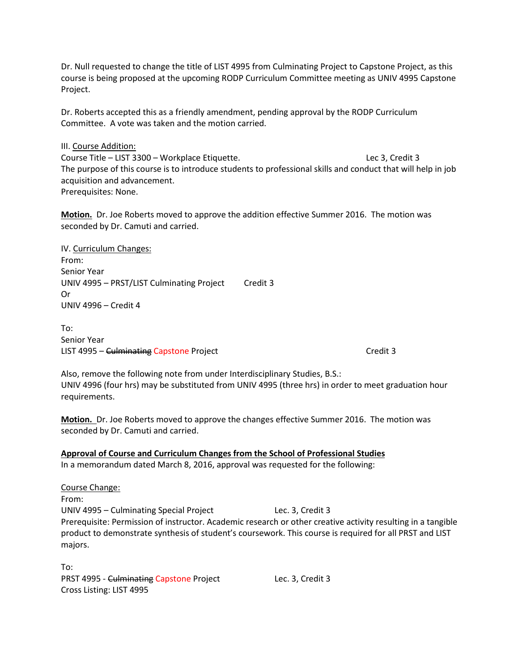Dr. Null requested to change the title of LIST 4995 from Culminating Project to Capstone Project, as this course is being proposed at the upcoming RODP Curriculum Committee meeting as UNIV 4995 Capstone Project.

Dr. Roberts accepted this as a friendly amendment, pending approval by the RODP Curriculum Committee. A vote was taken and the motion carried.

III. Course Addition:

Course Title – LIST 3300 – Workplace Etiquette. Lec 3, Credit 3 The purpose of this course is to introduce students to professional skills and conduct that will help in job acquisition and advancement. Prerequisites: None.

**Motion.** Dr. Joe Roberts moved to approve the addition effective Summer 2016. The motion was seconded by Dr. Camuti and carried.

IV. Curriculum Changes: From: Senior Year UNIV 4995 - PRST/LIST Culminating Project Credit 3 Or UNIV 4996 – Credit 4

To: Senior Year LIST 4995 – Culminating Capstone Project Credit 3

Also, remove the following note from under Interdisciplinary Studies, B.S.: UNIV 4996 (four hrs) may be substituted from UNIV 4995 (three hrs) in order to meet graduation hour requirements.

**Motion.** Dr. Joe Roberts moved to approve the changes effective Summer 2016. The motion was seconded by Dr. Camuti and carried.

**Approval of Course and Curriculum Changes from the School of Professional Studies** In a memorandum dated March 8, 2016, approval was requested for the following:

Course Change: From: UNIV 4995 – Culminating Special Project Lec. 3, Credit 3 Prerequisite: Permission of instructor. Academic research or other creative activity resulting in a tangible product to demonstrate synthesis of student's coursework. This course is required for all PRST and LIST majors.

To: PRST 4995 - Culminating Capstone Project Lec. 3, Credit 3 Cross Listing: LIST 4995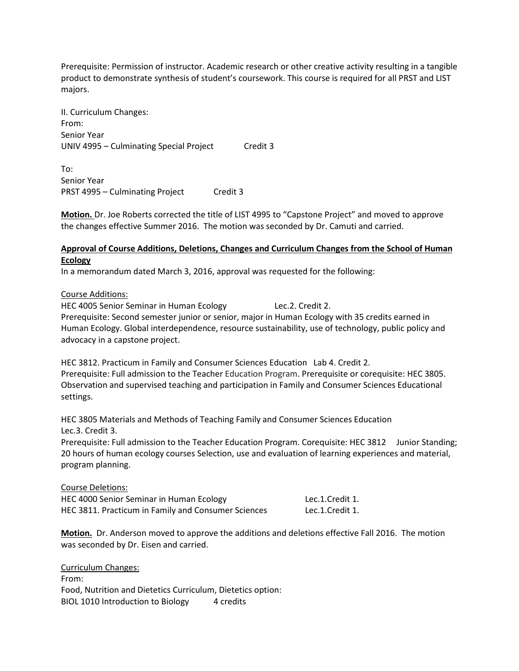Prerequisite: Permission of instructor. Academic research or other creative activity resulting in a tangible product to demonstrate synthesis of student's coursework. This course is required for all PRST and LIST majors.

II. Curriculum Changes: From: Senior Year UNIV 4995 – Culminating Special Project Credit 3

To: Senior Year PRST 4995 – Culminating Project Credit 3

**Motion.** Dr. Joe Roberts corrected the title of LIST 4995 to "Capstone Project" and moved to approve the changes effective Summer 2016. The motion was seconded by Dr. Camuti and carried.

## **Approval of Course Additions, Deletions, Changes and Curriculum Changes from the School of Human Ecology**

In a memorandum dated March 3, 2016, approval was requested for the following:

Course Additions:

HEC 4005 Senior Seminar in Human Ecology Lec.2. Credit 2. Prerequisite: Second semester junior or senior, major in Human Ecology with 35 credits earned in Human Ecology. Global interdependence, resource sustainability, use of technology, public policy and advocacy in a capstone project.

HEC 3812. Practicum in Family and Consumer Sciences Education Lab 4. Credit 2. Prerequisite: Full admission to the Teacher Education Program. Prerequisite or corequisite: HEC 3805. Observation and supervised teaching and participation in Family and Consumer Sciences Educational settings.

HEC 3805 Materials and Methods of Teaching Family and Consumer Sciences Education Lec.3. Credit 3.

Prerequisite: Full admission to the Teacher Education Program. Corequisite: HEC 3812 Junior Standing; 20 hours of human ecology courses Selection, use and evaluation of learning experiences and material, program planning.

Course Deletions:

HEC 4000 Senior Seminar in Human Ecology Lec.1.Credit 1. HEC 3811. Practicum in Family and Consumer Sciences Lec.1.Credit 1.

**Motion.** Dr. Anderson moved to approve the additions and deletions effective Fall 2016. The motion was seconded by Dr. Eisen and carried.

Curriculum Changes: From: Food, Nutrition and Dietetics Curriculum, Dietetics option: BIOL 1010 Introduction to Biology 4 credits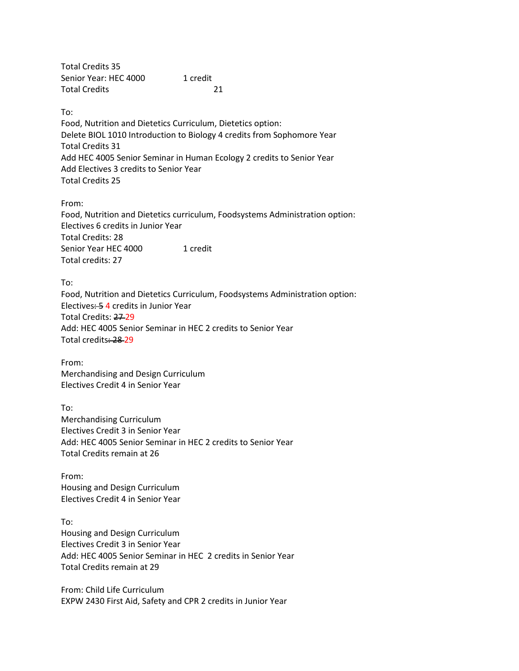Total Credits 35 Senior Year: HEC 4000 1 credit Total Credits 21

To:

Food, Nutrition and Dietetics Curriculum, Dietetics option: Delete BIOL 1010 Introduction to Biology 4 credits from Sophomore Year Total Credits 31 Add HEC 4005 Senior Seminar in Human Ecology 2 credits to Senior Year Add Electives 3 credits to Senior Year Total Credits 25

From:

Food, Nutrition and Dietetics curriculum, Foodsystems Administration option: Electives 6 credits in Junior Year Total Credits: 28 Senior Year HEC 4000 1 credit Total credits: 27

To: Food, Nutrition and Dietetics Curriculum, Foodsystems Administration option: Electives: 5 4 credits in Junior Year Total Credits: 27 29 Add: HEC 4005 Senior Seminar in HEC 2 credits to Senior Year Total credits: 28 29

From: Merchandising and Design Curriculum Electives Credit 4 in Senior Year

To: Merchandising Curriculum Electives Credit 3 in Senior Year Add: HEC 4005 Senior Seminar in HEC 2 credits to Senior Year Total Credits remain at 26

From: Housing and Design Curriculum Electives Credit 4 in Senior Year

To: Housing and Design Curriculum Electives Credit 3 in Senior Year Add: HEC 4005 Senior Seminar in HEC 2 credits in Senior Year Total Credits remain at 29

From: Child Life Curriculum EXPW 2430 First Aid, Safety and CPR 2 credits in Junior Year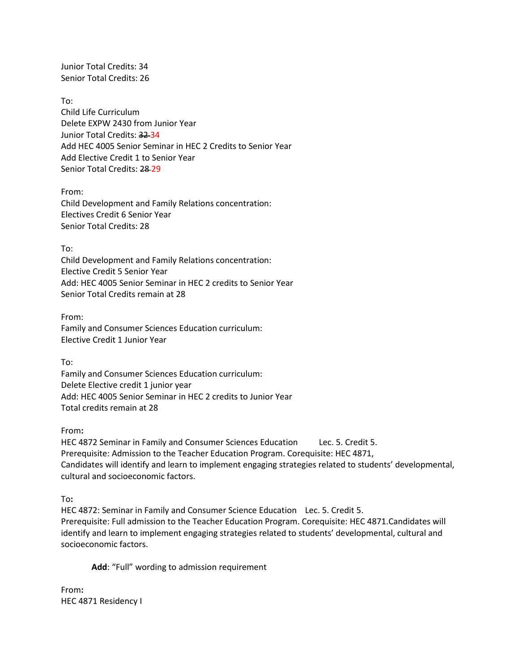Junior Total Credits: 34 Senior Total Credits: 26

To: Child Life Curriculum Delete EXPW 2430 from Junior Year Junior Total Credits: 32 34 Add HEC 4005 Senior Seminar in HEC 2 Credits to Senior Year Add Elective Credit 1 to Senior Year Senior Total Credits: 28-29

From: Child Development and Family Relations concentration: Electives Credit 6 Senior Year Senior Total Credits: 28

To:

Child Development and Family Relations concentration: Elective Credit 5 Senior Year Add: HEC 4005 Senior Seminar in HEC 2 credits to Senior Year Senior Total Credits remain at 28

From: Family and Consumer Sciences Education curriculum: Elective Credit 1 Junior Year

To:

Family and Consumer Sciences Education curriculum: Delete Elective credit 1 junior year Add: HEC 4005 Senior Seminar in HEC 2 credits to Junior Year Total credits remain at 28

From**:** 

HEC 4872 Seminar in Family and Consumer Sciences Education Lec. 5. Credit 5. Prerequisite: Admission to the Teacher Education Program. Corequisite: HEC 4871, Candidates will identify and learn to implement engaging strategies related to students' developmental, cultural and socioeconomic factors.

To**:** 

HEC 4872: Seminar in Family and Consumer Science Education Lec. 5. Credit 5. Prerequisite: Full admission to the Teacher Education Program. Corequisite: HEC 4871.Candidates will identify and learn to implement engaging strategies related to students' developmental, cultural and socioeconomic factors.

**Add**: "Full" wording to admission requirement

From**:** HEC 4871 Residency I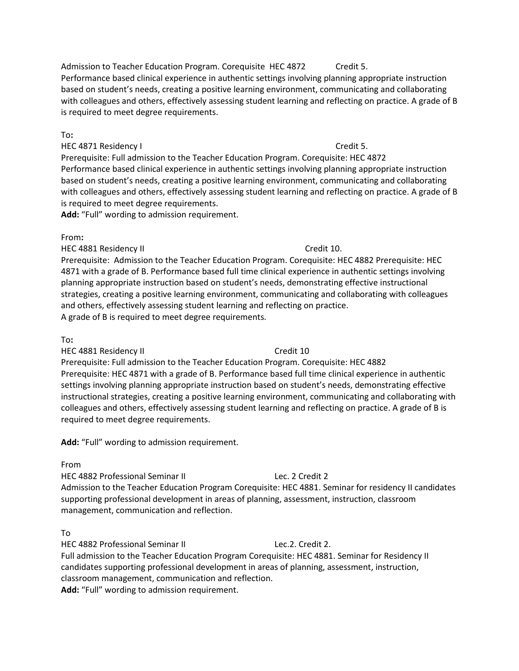Admission to Teacher Education Program. Corequisite HEC 4872 Credit 5. Performance based clinical experience in authentic settings involving planning appropriate instruction based on student's needs, creating a positive learning environment, communicating and collaborating with colleagues and others, effectively assessing student learning and reflecting on practice. A grade of B is required to meet degree requirements.

#### To**:**

HEC 4871 Residency I Credit 5.

Prerequisite: Full admission to the Teacher Education Program. Corequisite: HEC 4872 Performance based clinical experience in authentic settings involving planning appropriate instruction based on student's needs, creating a positive learning environment, communicating and collaborating with colleagues and others, effectively assessing student learning and reflecting on practice. A grade of B is required to meet degree requirements.

**Add:** "Full" wording to admission requirement.

#### From**:**

HEC 4881 Residency II Credit 10.

Prerequisite: Admission to the Teacher Education Program. Corequisite: HEC 4882 Prerequisite: HEC 4871 with a grade of B. Performance based full time clinical experience in authentic settings involving planning appropriate instruction based on student's needs, demonstrating effective instructional strategies, creating a positive learning environment, communicating and collaborating with colleagues and others, effectively assessing student learning and reflecting on practice. A grade of B is required to meet degree requirements.

#### To**:**

HEC 4881 Residency II Credit 10

Prerequisite: Full admission to the Teacher Education Program. Corequisite: HEC 4882 Prerequisite: HEC 4871 with a grade of B. Performance based full time clinical experience in authentic settings involving planning appropriate instruction based on student's needs, demonstrating effective instructional strategies, creating a positive learning environment, communicating and collaborating with colleagues and others, effectively assessing student learning and reflecting on practice. A grade of B is required to meet degree requirements.

**Add:** "Full" wording to admission requirement.

## From

HEC 4882 Professional Seminar II Lec. 2 Credit 2 Admission to the Teacher Education Program Corequisite: HEC 4881. Seminar for residency II candidates supporting professional development in areas of planning, assessment, instruction, classroom management, communication and reflection.

## To

HEC 4882 Professional Seminar II Lec.2. Credit 2. Full admission to the Teacher Education Program Corequisite: HEC 4881. Seminar for Residency II candidates supporting professional development in areas of planning, assessment, instruction, classroom management, communication and reflection. **Add:** "Full" wording to admission requirement.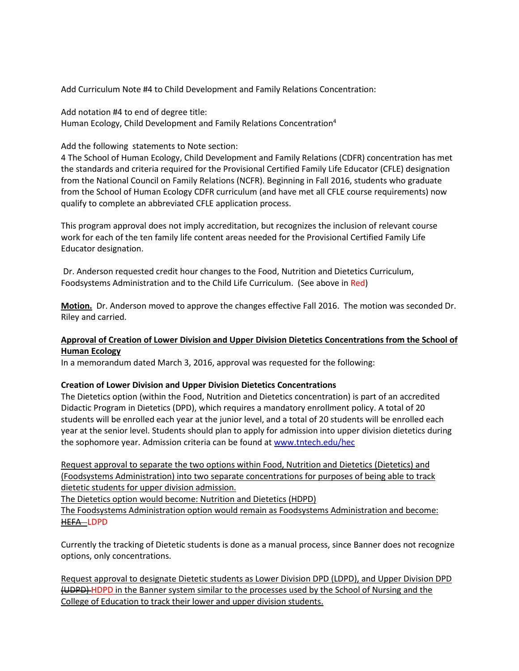Add Curriculum Note #4 to Child Development and Family Relations Concentration:

Add notation #4 to end of degree title: Human Ecology, Child Development and Family Relations Concentration4

## Add the following statements to Note section:

4 The School of Human Ecology, Child Development and Family Relations (CDFR) concentration has met the standards and criteria required for the Provisional Certified Family Life Educator (CFLE) designation from the National Council on Family Relations (NCFR). Beginning in Fall 2016, students who graduate from the School of Human Ecology CDFR curriculum (and have met all CFLE course requirements) now qualify to complete an abbreviated CFLE application process.

This program approval does not imply accreditation, but recognizes the inclusion of relevant course work for each of the ten family life content areas needed for the Provisional Certified Family Life Educator designation.

Dr. Anderson requested credit hour changes to the Food, Nutrition and Dietetics Curriculum, Foodsystems Administration and to the Child Life Curriculum. (See above in Red)

**Motion.** Dr. Anderson moved to approve the changes effective Fall 2016. The motion was seconded Dr. Riley and carried.

# **Approval of Creation of Lower Division and Upper Division Dietetics Concentrations from the School of Human Ecology**

In a memorandum dated March 3, 2016, approval was requested for the following:

# **Creation of Lower Division and Upper Division Dietetics Concentrations**

The Dietetics option (within the Food, Nutrition and Dietetics concentration) is part of an accredited Didactic Program in Dietetics (DPD), which requires a mandatory enrollment policy. A total of 20 students will be enrolled each year at the junior level, and a total of 20 students will be enrolled each year at the senior level. Students should plan to apply for admission into upper division dietetics during the sophomore year. Admission criteria can be found at [www.tntech.edu/hec](http://www.tntech.edu/hec)

Request approval to separate the two options within Food, Nutrition and Dietetics (Dietetics) and (Foodsystems Administration) into two separate concentrations for purposes of being able to track dietetic students for upper division admission.

The Dietetics option would become: Nutrition and Dietetics (HDPD)

The Foodsystems Administration option would remain as Foodsystems Administration and become: HEFA LDPD

Currently the tracking of Dietetic students is done as a manual process, since Banner does not recognize options, only concentrations.

Request approval to designate Dietetic students as Lower Division DPD (LDPD), and Upper Division DPD (UDPD) HDPD in the Banner system similar to the processes used by the School of Nursing and the College of Education to track their lower and upper division students.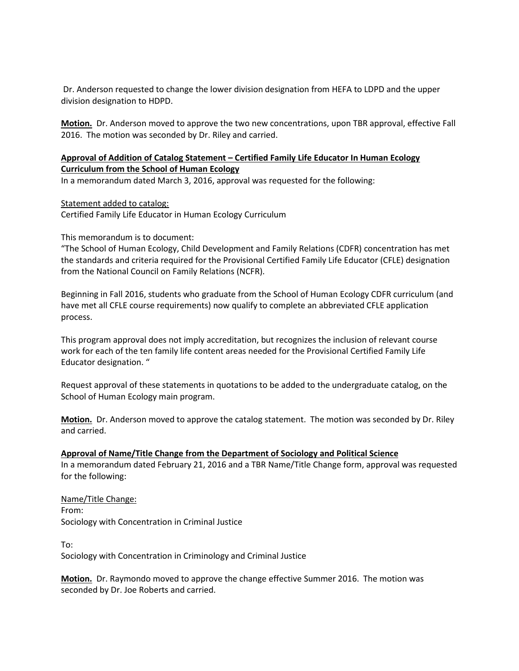Dr. Anderson requested to change the lower division designation from HEFA to LDPD and the upper division designation to HDPD.

**Motion.** Dr. Anderson moved to approve the two new concentrations, upon TBR approval, effective Fall 2016. The motion was seconded by Dr. Riley and carried.

# **Approval of Addition of Catalog Statement – Certified Family Life Educator In Human Ecology Curriculum from the School of Human Ecology**

In a memorandum dated March 3, 2016, approval was requested for the following:

Statement added to catalog:

Certified Family Life Educator in Human Ecology Curriculum

This memorandum is to document:

"The School of Human Ecology, Child Development and Family Relations (CDFR) concentration has met the standards and criteria required for the Provisional Certified Family Life Educator (CFLE) designation from the National Council on Family Relations (NCFR).

Beginning in Fall 2016, students who graduate from the School of Human Ecology CDFR curriculum (and have met all CFLE course requirements) now qualify to complete an abbreviated CFLE application process.

This program approval does not imply accreditation, but recognizes the inclusion of relevant course work for each of the ten family life content areas needed for the Provisional Certified Family Life Educator designation. "

Request approval of these statements in quotations to be added to the undergraduate catalog, on the School of Human Ecology main program.

**Motion.** Dr. Anderson moved to approve the catalog statement. The motion was seconded by Dr. Riley and carried.

**Approval of Name/Title Change from the Department of Sociology and Political Science**

In a memorandum dated February 21, 2016 and a TBR Name/Title Change form, approval was requested for the following:

Name/Title Change: From: Sociology with Concentration in Criminal Justice

To: Sociology with Concentration in Criminology and Criminal Justice

**Motion.** Dr. Raymondo moved to approve the change effective Summer 2016. The motion was seconded by Dr. Joe Roberts and carried.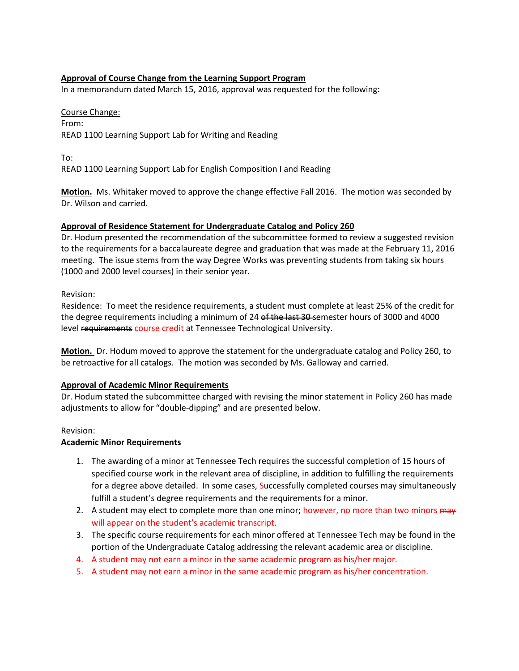# **Approval of Course Change from the Learning Support Program**

In a memorandum dated March 15, 2016, approval was requested for the following:

#### Course Change:

From: READ 1100 Learning Support Lab for Writing and Reading

To:

READ 1100 Learning Support Lab for English Composition I and Reading

**Motion.** Ms. Whitaker moved to approve the change effective Fall 2016. The motion was seconded by Dr. Wilson and carried.

## **Approval of Residence Statement for Undergraduate Catalog and Policy 260**

Dr. Hodum presented the recommendation of the subcommittee formed to review a suggested revision to the requirements for a baccalaureate degree and graduation that was made at the February 11, 2016 meeting. The issue stems from the way Degree Works was preventing students from taking six hours (1000 and 2000 level courses) in their senior year.

## Revision:

Residence: To meet the residence requirements, a student must complete at least 25% of the credit for the degree requirements including a minimum of 24 of the last 30-semester hours of 3000 and 4000 level requirements course credit at Tennessee Technological University.

**Motion.** Dr. Hodum moved to approve the statement for the undergraduate catalog and Policy 260, to be retroactive for all catalogs. The motion was seconded by Ms. Galloway and carried.

## **Approval of Academic Minor Requirements**

Dr. Hodum stated the subcommittee charged with revising the minor statement in Policy 260 has made adjustments to allow for "double-dipping" and are presented below.

## Revision:

## **Academic Minor Requirements**

- 1. The awarding of a minor at Tennessee Tech requires the successful completion of 15 hours of specified course work in the relevant area of discipline, in addition to fulfilling the requirements for a degree above detailed. In some cases, Successfully completed courses may simultaneously fulfill a student's degree requirements and the requirements for a minor.
- 2. A student may elect to complete more than one minor; however, no more than two minors may will appear on the student's academic transcript.
- 3. The specific course requirements for each minor offered at Tennessee Tech may be found in the portion of the Undergraduate Catalog addressing the relevant academic area or discipline.
- 4. A student may not earn a minor in the same academic program as his/her major.
- 5. A student may not earn a minor in the same academic program as his/her concentration.